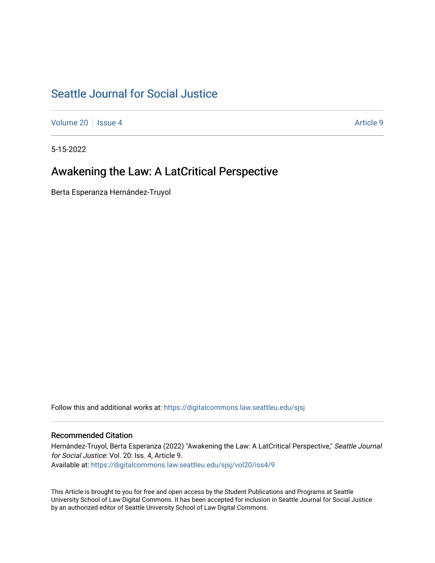# [Seattle Journal for Social Justice](https://digitalcommons.law.seattleu.edu/sjsj)

[Volume 20](https://digitalcommons.law.seattleu.edu/sjsj/vol20) | [Issue 4](https://digitalcommons.law.seattleu.edu/sjsj/vol20/iss4) Article 9

5-15-2022

## Awakening the Law: A LatCritical Perspective

Berta Esperanza Hernández-Truyol

Follow this and additional works at: [https://digitalcommons.law.seattleu.edu/sjsj](https://digitalcommons.law.seattleu.edu/sjsj?utm_source=digitalcommons.law.seattleu.edu%2Fsjsj%2Fvol20%2Fiss4%2F9&utm_medium=PDF&utm_campaign=PDFCoverPages)

### Recommended Citation

Hernández-Truyol, Berta Esperanza (2022) "Awakening the Law: A LatCritical Perspective," Seattle Journal for Social Justice: Vol. 20: Iss. 4, Article 9. Available at: [https://digitalcommons.law.seattleu.edu/sjsj/vol20/iss4/9](https://digitalcommons.law.seattleu.edu/sjsj/vol20/iss4/9?utm_source=digitalcommons.law.seattleu.edu%2Fsjsj%2Fvol20%2Fiss4%2F9&utm_medium=PDF&utm_campaign=PDFCoverPages)

This Article is brought to you for free and open access by the Student Publications and Programs at Seattle University School of Law Digital Commons. It has been accepted for inclusion in Seattle Journal for Social Justice by an authorized editor of Seattle University School of Law Digital Commons.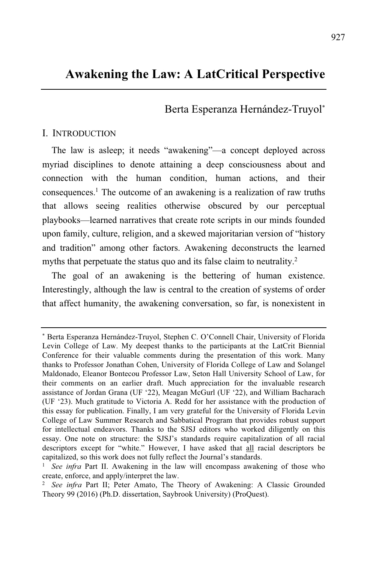## **Awakening the Law: A LatCritical Perspective**

Berta Esperanza Hernández-Truyol\*

#### I. INTRODUCTION

The law is asleep; it needs "awakening"—a concept deployed across myriad disciplines to denote attaining a deep consciousness about and connection with the human condition, human actions, and their consequences.<sup>1</sup> The outcome of an awakening is a realization of raw truths that allows seeing realities otherwise obscured by our perceptual playbooks—learned narratives that create rote scripts in our minds founded upon family, culture, religion, and a skewed majoritarian version of "history and tradition" among other factors. Awakening deconstructs the learned myths that perpetuate the status quo and its false claim to neutrality.<sup>2</sup>

The goal of an awakening is the bettering of human existence. Interestingly, although the law is central to the creation of systems of order that affect humanity, the awakening conversation, so far, is nonexistent in

<sup>\*</sup> Berta Esperanza Hernández-Truyol, Stephen C. O'Connell Chair, University of Florida Levin College of Law. My deepest thanks to the participants at the LatCrit Biennial Conference for their valuable comments during the presentation of this work. Many thanks to Professor Jonathan Cohen, University of Florida College of Law and Solangel Maldonado, Eleanor Bontecou Professor Law, Seton Hall University School of Law, for their comments on an earlier draft. Much appreciation for the invaluable research assistance of Jordan Grana (UF '22), Meagan McGurl (UF '22), and William Bacharach (UF '23). Much gratitude to Victoria A. Redd for her assistance with the production of this essay for publication. Finally, I am very grateful for the University of Florida Levin College of Law Summer Research and Sabbatical Program that provides robust support for intellectual endeavors. Thanks to the SJSJ editors who worked diligently on this essay. One note on structure: the SJSJ's standards require capitalization of all racial descriptors except for "white." However, I have asked that all racial descriptors be capitalized, so this work does not fully reflect the Journal's standards.

<sup>1</sup> *See infra* Part II. Awakening in the law will encompass awakening of those who create, enforce, and apply/interpret the law.

<sup>2</sup> *See infra* Part II; Peter Amato, The Theory of Awakening: A Classic Grounded Theory 99 (2016) (Ph.D. dissertation, Saybrook University) (ProQuest).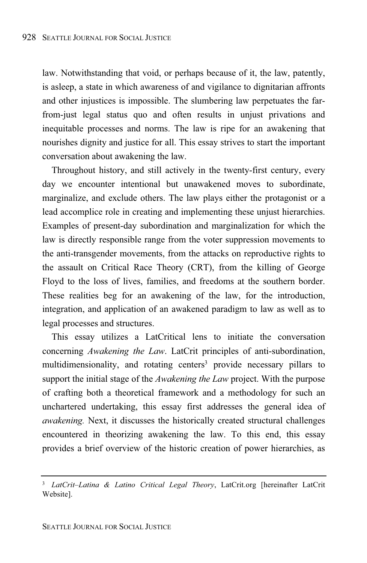law. Notwithstanding that void, or perhaps because of it, the law, patently, is asleep, a state in which awareness of and vigilance to dignitarian affronts and other injustices is impossible. The slumbering law perpetuates the farfrom-just legal status quo and often results in unjust privations and inequitable processes and norms. The law is ripe for an awakening that nourishes dignity and justice for all. This essay strives to start the important conversation about awakening the law.

Throughout history, and still actively in the twenty-first century, every day we encounter intentional but unawakened moves to subordinate, marginalize, and exclude others. The law plays either the protagonist or a lead accomplice role in creating and implementing these unjust hierarchies. Examples of present-day subordination and marginalization for which the law is directly responsible range from the voter suppression movements to the anti-transgender movements, from the attacks on reproductive rights to the assault on Critical Race Theory (CRT), from the killing of George Floyd to the loss of lives, families, and freedoms at the southern border. These realities beg for an awakening of the law, for the introduction, integration, and application of an awakened paradigm to law as well as to legal processes and structures.

This essay utilizes a LatCritical lens to initiate the conversation concerning *Awakening the Law*. LatCrit principles of anti-subordination, multidimensionality, and rotating centers <sup>3</sup> provide necessary pillars to support the initial stage of the *Awakening the Law* project. With the purpose of crafting both a theoretical framework and a methodology for such an unchartered undertaking, this essay first addresses the general idea of *awakening.* Next, it discusses the historically created structural challenges encountered in theorizing awakening the law. To this end, this essay provides a brief overview of the historic creation of power hierarchies, as

<sup>3</sup> *LatCrit–Latina & Latino Critical Legal Theory*, LatCrit.org [hereinafter LatCrit Website].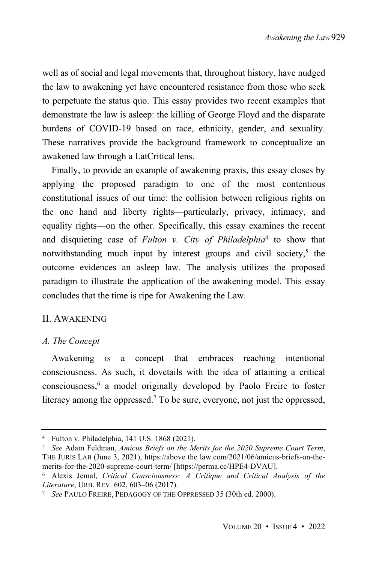well as of social and legal movements that, throughout history, have nudged the law to awakening yet have encountered resistance from those who seek to perpetuate the status quo. This essay provides two recent examples that demonstrate the law is asleep: the killing of George Floyd and the disparate burdens of COVID-19 based on race, ethnicity, gender, and sexuality. These narratives provide the background framework to conceptualize an awakened law through a LatCritical lens.

Finally, to provide an example of awakening praxis, this essay closes by applying the proposed paradigm to one of the most contentious constitutional issues of our time: the collision between religious rights on the one hand and liberty rights—particularly, privacy, intimacy, and equality rights—on the other. Specifically, this essay examines the recent and disquieting case of *Fulton v. City of Philadelphia* 4 to show that notwithstanding much input by interest groups and civil society,<sup>5</sup> the outcome evidences an asleep law. The analysis utilizes the proposed paradigm to illustrate the application of the awakening model. This essay concludes that the time is ripe for Awakening the Law.

#### II. AWAKENING

#### *A. The Concept*

Awakening is a concept that embraces reaching intentional consciousness. As such, it dovetails with the idea of attaining a critical consciousness,<sup>6</sup> a model originally developed by Paolo Freire to foster literacy among the oppressed.<sup>7</sup> To be sure, everyone, not just the oppressed,

<sup>4</sup> Fulton v. Philadelphia, 141 U.S. 1868 (2021).

<sup>5</sup> *See* Adam Feldman, *Amicus Briefs on the Merits for the 2020 Supreme Court Term*, THE JURIS LAB (June 3, 2021), https://above the law.com/2021/06/amicus-briefs-on-themerits-for-the-2020-supreme-court-term/ [https://perma.cc/HPE4-DVAU].

<sup>6</sup> Alexis Jemal, *Critical Consciousness: A Critique and Critical Analysis of the Literature*, URB. REV. 602, 603–06 (2017).

<sup>7</sup> *See* PAULO FREIRE, PEDAGOGY OF THE OPPRESSED 35 (30th ed. 2000).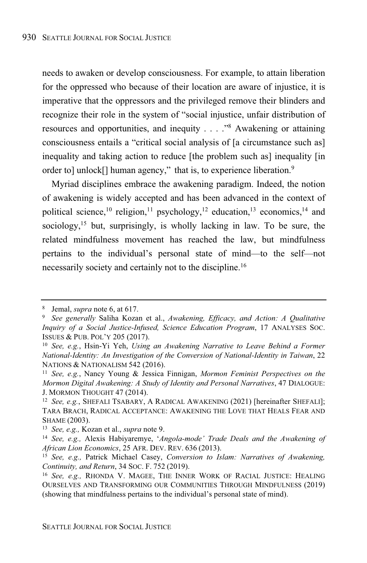needs to awaken or develop consciousness. For example, to attain liberation for the oppressed who because of their location are aware of injustice, it is imperative that the oppressors and the privileged remove their blinders and recognize their role in the system of "social injustice, unfair distribution of resources and opportunities, and inequity . . . ."<sup>8</sup> Awakening or attaining consciousness entails a "critical social analysis of [a circumstance such as] inequality and taking action to reduce [the problem such as] inequality [in] order to] unlock[] human agency," that is, to experience liberation.<sup>9</sup>

Myriad disciplines embrace the awakening paradigm. Indeed, the notion of awakening is widely accepted and has been advanced in the context of political science,<sup>10</sup> religion,<sup>11</sup> psychology,<sup>12</sup> education,<sup>13</sup> economics,<sup>14</sup> and sociology,<sup>15</sup> but, surprisingly, is wholly lacking in law. To be sure, the related mindfulness movement has reached the law, but mindfulness pertains to the individual's personal state of mind—to the self—not necessarily society and certainly not to the discipline.<sup>16</sup>

<sup>8</sup> Jemal, *supra* note 6, at 617.

<sup>9</sup> *See generally* Saliha Kozan et al., *Awakening, Efficacy, and Action: A Qualitative Inquiry of a Social Justice-Infused, Science Education Program*, 17 ANALYSES SOC. ISSUES & PUB. POL'Y 205 (2017).

<sup>10</sup> *See, e.g.*, Hsin-Yi Yeh, *Using an Awakening Narrative to Leave Behind a Former National-Identity: An Investigation of the Conversion of National-Identity in Taiwan*, 22 NATIONS & NATIONALISM 542 (2016).

<sup>11</sup> *See, e.g.*, Nancy Young & Jessica Finnigan, *Mormon Feminist Perspectives on the Mormon Digital Awakening: A Study of Identity and Personal Narratives*, 47 DIALOGUE: J. MORMON THOUGHT 47 (2014).

<sup>12</sup> *See, e.g.*, SHEFALI TSABARY, A RADICAL AWAKENING (2021) [hereinafter SHEFALI]; TARA BRACH, RADICAL ACCEPTANCE: AWAKENING THE LOVE THAT HEALS FEAR AND SHAME (2003).

<sup>13</sup> *See, e.g.,* Kozan et al., *supra* note 9.

<sup>14</sup> *See, e.g.,* Alexis Habiyaremye, '*Angola-mode' Trade Deals and the Awakening of African Lion Economics*, 25 AFR. DEV. REV. 636 (2013).

<sup>15</sup> *See, e.g.,* Patrick Michael Casey, *Conversion to Islam: Narratives of Awakening, Continuity, and Return*, 34 SOC. F. 752 (2019).

<sup>16</sup> *See, e.g.,* RHONDA V. MAGEE, THE INNER WORK OF RACIAL JUSTICE: HEALING OURSELVES AND TRANSFORMING OUR COMMUNITIES THROUGH MINDFULNESS (2019) (showing that mindfulness pertains to the individual's personal state of mind).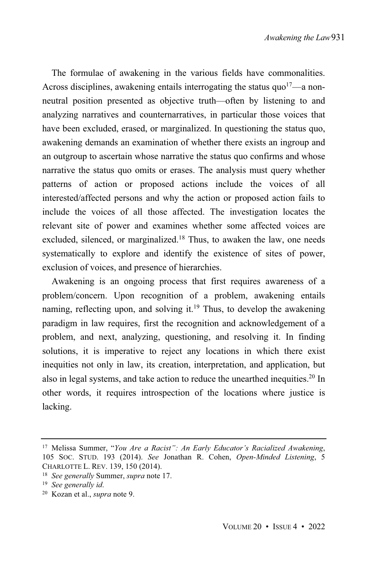The formulae of awakening in the various fields have commonalities. Across disciplines, awakening entails interrogating the status  $quo<sup>17</sup>$ —a nonneutral position presented as objective truth—often by listening to and analyzing narratives and counternarratives, in particular those voices that have been excluded, erased, or marginalized. In questioning the status quo, awakening demands an examination of whether there exists an ingroup and an outgroup to ascertain whose narrative the status quo confirms and whose narrative the status quo omits or erases. The analysis must query whether patterns of action or proposed actions include the voices of all interested/affected persons and why the action or proposed action fails to include the voices of all those affected. The investigation locates the relevant site of power and examines whether some affected voices are excluded, silenced, or marginalized.<sup>18</sup> Thus, to awaken the law, one needs systematically to explore and identify the existence of sites of power, exclusion of voices, and presence of hierarchies.

Awakening is an ongoing process that first requires awareness of a problem/concern. Upon recognition of a problem, awakening entails naming, reflecting upon, and solving it.<sup>19</sup> Thus, to develop the awakening paradigm in law requires, first the recognition and acknowledgement of a problem, and next, analyzing, questioning, and resolving it. In finding solutions, it is imperative to reject any locations in which there exist inequities not only in law, its creation, interpretation, and application, but also in legal systems, and take action to reduce the unearthed inequities.<sup>20</sup> In other words, it requires introspection of the locations where justice is lacking.

<sup>17</sup> Melissa Summer, "*You Are a Racist": An Early Educator's Racialized Awakening*, 105 SOC. STUD. 193 (2014). *See* Jonathan R. Cohen, *Open-Minded Listening*, 5 CHARLOTTE L. REV. 139, 150 (2014).

<sup>18</sup> *See generally* Summer, *supra* note 17.

<sup>19</sup> *See generally id*.

<sup>20</sup> Kozan et al., *supra* note 9.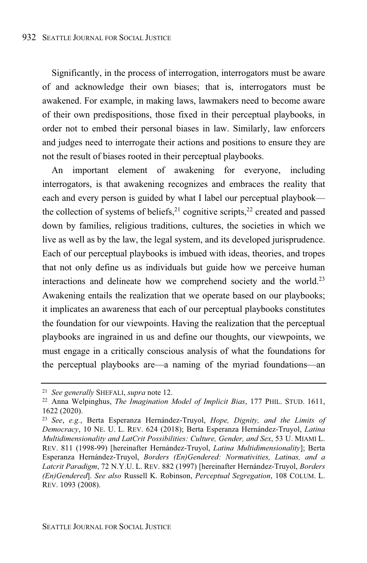Significantly, in the process of interrogation, interrogators must be aware of and acknowledge their own biases; that is, interrogators must be awakened. For example, in making laws, lawmakers need to become aware of their own predispositions, those fixed in their perceptual playbooks, in order not to embed their personal biases in law. Similarly, law enforcers and judges need to interrogate their actions and positions to ensure they are not the result of biases rooted in their perceptual playbooks.

An important element of awakening for everyone, including interrogators, is that awakening recognizes and embraces the reality that each and every person is guided by what I label our perceptual playbook the collection of systems of beliefs,<sup>21</sup> cognitive scripts,<sup>22</sup> created and passed down by families, religious traditions, cultures, the societies in which we live as well as by the law, the legal system, and its developed jurisprudence. Each of our perceptual playbooks is imbued with ideas, theories, and tropes that not only define us as individuals but guide how we perceive human interactions and delineate how we comprehend society and the world.<sup>23</sup> Awakening entails the realization that we operate based on our playbooks; it implicates an awareness that each of our perceptual playbooks constitutes the foundation for our viewpoints. Having the realization that the perceptual playbooks are ingrained in us and define our thoughts, our viewpoints, we must engage in a critically conscious analysis of what the foundations for the perceptual playbooks are—a naming of the myriad foundations—an

<sup>21</sup> *See generally* SHEFALI, *supra* note 12.

<sup>22</sup> Anna Welpinghus, *The Imagination Model of Implicit Bias*, 177 PHIL. STUD. 1611, 1622 (2020).

<sup>23</sup> *See*, *e.g.*, Berta Esperanza Hernández-Truyol, *Hope, Dignity, and the Limits of Democracy*, 10 NE. U. L. REV. 624 (2018); Berta Esperanza Hernández-Truyol, *Latina Multidimensionality and LatCrit Possibilities: Culture, Gender, and Sex*, 53 U. MIAMI L. REV. 811 (1998-99) [hereinafter Hernández-Truyol, *Latina Multidimensionality*]; Berta Esperanza Hernández-Truyol, *Borders (En)Gendered: Normativities, Latinas, and a Latcrit Paradigm*, 72 N.Y.U. L. REV. 882 (1997) [hereinafter Hernández-Truyol, *Borders (En)Gendered*]. *See also* Russell K. Robinson, *Perceptual Segregation*, 108 COLUM. L. REV. 1093 (2008).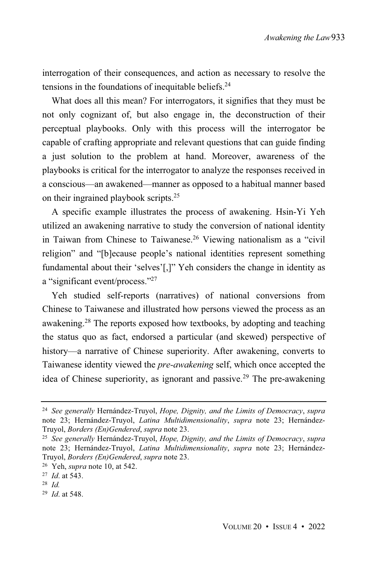interrogation of their consequences, and action as necessary to resolve the tensions in the foundations of inequitable beliefs.<sup>24</sup>

What does all this mean? For interrogators, it signifies that they must be not only cognizant of, but also engage in, the deconstruction of their perceptual playbooks. Only with this process will the interrogator be capable of crafting appropriate and relevant questions that can guide finding a just solution to the problem at hand. Moreover, awareness of the playbooks is critical for the interrogator to analyze the responses received in a conscious—an awakened—manner as opposed to a habitual manner based on their ingrained playbook scripts. 25

A specific example illustrates the process of awakening. Hsin-Yi Yeh utilized an awakening narrative to study the conversion of national identity in Taiwan from Chinese to Taiwanese.<sup>26</sup> Viewing nationalism as a "civil religion" and "[b]ecause people's national identities represent something fundamental about their 'selves'[,]" Yeh considers the change in identity as a "significant event/process." 27

Yeh studied self-reports (narratives) of national conversions from Chinese to Taiwanese and illustrated how persons viewed the process as an awakening.<sup>28</sup> The reports exposed how textbooks, by adopting and teaching the status quo as fact, endorsed a particular (and skewed) perspective of history—a narrative of Chinese superiority. After awakening, converts to Taiwanese identity viewed the *pre-awakening* self, which once accepted the idea of Chinese superiority, as ignorant and passive.<sup>29</sup> The pre-awakening

<sup>24</sup> *See generally* Hernández-Truyol, *Hope, Dignity, and the Limits of Democracy*, *supra* note 23; Hernández-Truyol, *Latina Multidimensionality*, *supra* note 23; Hernández-Truyol, *Borders (En)Gendered*, *supra* note 23.

<sup>25</sup> *See generally* Hernández-Truyol, *Hope, Dignity, and the Limits of Democracy*, *supra* note 23; Hernández-Truyol, *Latina Multidimensionality*, *supra* note 23; Hernández-Truyol, *Borders (En)Gendered*, *supra* note 23.

<sup>26</sup> Yeh, *supra* note 10, at 542.

<sup>27</sup> *Id*. at 543.

<sup>28</sup> *Id.*

<sup>29</sup> *Id*. at 548.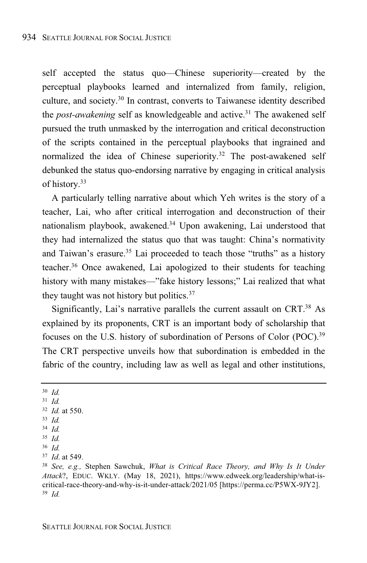self accepted the status quo—Chinese superiority—created by the perceptual playbooks learned and internalized from family, religion, culture, and society.<sup>30</sup> In contrast, converts to Taiwanese identity described the *post-awakening* self as knowledgeable and active.<sup>31</sup> The awakened self pursued the truth unmasked by the interrogation and critical deconstruction of the scripts contained in the perceptual playbooks that ingrained and normalized the idea of Chinese superiority.<sup>32</sup> The post-awakened self debunked the status quo-endorsing narrative by engaging in critical analysis of history.<sup>33</sup>

A particularly telling narrative about which Yeh writes is the story of a teacher, Lai, who after critical interrogation and deconstruction of their nationalism playbook, awakened.<sup>34</sup> Upon awakening, Lai understood that they had internalized the status quo that was taught: China's normativity and Taiwan's erasure.<sup>35</sup> Lai proceeded to teach those "truths" as a history teacher.<sup>36</sup> Once awakened, Lai apologized to their students for teaching history with many mistakes—"fake history lessons;" Lai realized that what they taught was not history but politics.<sup>37</sup>

Significantly, Lai's narrative parallels the current assault on CRT.<sup>38</sup> As explained by its proponents, CRT is an important body of scholarship that focuses on the U.S. history of subordination of Persons of Color (POC). 39 The CRT perspective unveils how that subordination is embedded in the fabric of the country, including law as well as legal and other institutions,

<sup>30</sup> *Id.* <sup>31</sup> *Id.* <sup>32</sup> *Id.* at 550. <sup>33</sup> *Id.* <sup>34</sup> *Id.* <sup>35</sup> *Id.* <sup>36</sup> *Id.* <sup>37</sup> *Id*. at 549.

<sup>38</sup> *See, e.g.,* Stephen Sawchuk, *What is Critical Race Theory, and Why Is It Under Attack*?, EDUC. WKLY. (May 18, 2021), https://www.edweek.org/leadership/what-iscritical-race-theory-and-why-is-it-under-attack/2021/05 [https://perma.cc/P5WX-9JY2]. <sup>39</sup> *Id.*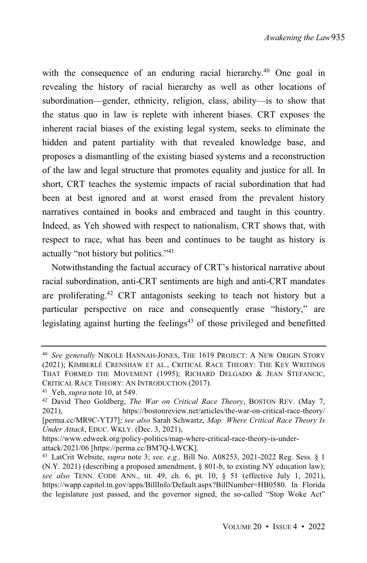with the consequence of an enduring racial hierarchy.<sup>40</sup> One goal in revealing the history of racial hierarchy as well as other locations of subordination—gender, ethnicity, religion, class, ability—is to show that the status quo in law is replete with inherent biases. CRT exposes the inherent racial biases of the existing legal system, seeks to eliminate the hidden and patent partiality with that revealed knowledge base, and proposes a dismantling of the existing biased systems and a reconstruction of the law and legal structure that promotes equality and justice for all. In short, CRT teaches the systemic impacts of racial subordination that had been at best ignored and at worst erased from the prevalent history narratives contained in books and embraced and taught in this country. Indeed, as Yeh showed with respect to nationalism, CRT shows that, with respect to race, what has been and continues to be taught as history is actually "not history but politics." 41

Notwithstanding the factual accuracy of CRT's historical narrative about racial subordination, anti-CRT sentiments are high and anti-CRT mandates are proliferating.<sup>42</sup> CRT antagonists seeking to teach not history but a particular perspective on race and consequently erase "history," are legislating against hurting the feelings <sup>43</sup> of those privileged and benefitted

<sup>40</sup> *See generally* NIKOLE HANNAH-JONES, THE 1619 PROJECT: A NEW ORIGIN STORY (2021); KIMBERLÉ CRENSHAW ET AL., CRITICAL RACE THEORY: THE KEY WRITINGS THAT FORMED THE MOVEMENT (1995); RICHARD DELGADO & JEAN STEFANCIC, CRITICAL RACE THEORY: AN INTRODUCTION (2017).

<sup>41</sup> Yeh, *supra* note 10, at 549.

<sup>42</sup> David Theo Goldberg, *The War on Critical Race Theory*, BOSTON REV. (May 7, 2021), https://bostonreview.net/articles/the-war-on-critical-race-theory/ [perma.cc/MR9C-YTJ7]; *see also* Sarah Schwartz, *Map: Where Critical Race Theory Is Under Attack*, EDUC. WKLY. (Dec. 3, 2021),

https://www.edweek.org/policy-politics/map-where-critical-race-theory-is-underattack/2021/06 [https://perma.cc/BM7Q-LWCK].

<sup>43</sup> LatCrit Website, *supra* note 3; *see, e.g.,* Bill No. A08253, 2021-2022 Reg. Sess. § 1 (N.Y. 2021) (describing a proposed amendment, § 801-b, to existing NY education law); *see also* TENN. CODE ANN., tit. 49, ch. 6, pt. 10, § 51 (effective July 1, 2021), https://wapp.capitol.tn.gov/apps/BillInfo/Default.aspx?BillNumber=HB0580. In Florida the legislature just passed, and the governor signed, the so-called "Stop Woke Act"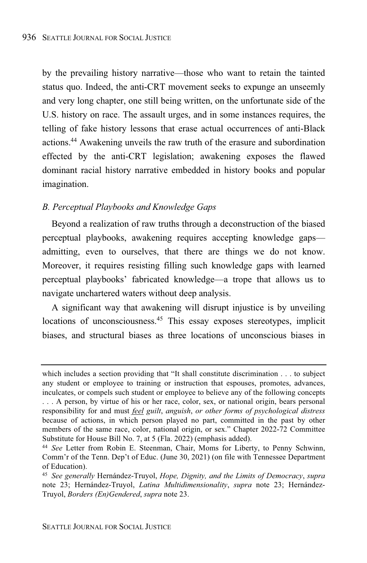by the prevailing history narrative—those who want to retain the tainted status quo. Indeed, the anti-CRT movement seeks to expunge an unseemly and very long chapter, one still being written, on the unfortunate side of the U.S. history on race. The assault urges, and in some instances requires, the telling of fake history lessons that erase actual occurrences of anti-Black actions.<sup>44</sup> Awakening unveils the raw truth of the erasure and subordination effected by the anti-CRT legislation; awakening exposes the flawed dominant racial history narrative embedded in history books and popular imagination.

#### *B. Perceptual Playbooks and Knowledge Gaps*

Beyond a realization of raw truths through a deconstruction of the biased perceptual playbooks, awakening requires accepting knowledge gaps admitting, even to ourselves, that there are things we do not know. Moreover, it requires resisting filling such knowledge gaps with learned perceptual playbooks' fabricated knowledge—a trope that allows us to navigate unchartered waters without deep analysis.

A significant way that awakening will disrupt injustice is by unveiling locations of unconsciousness.<sup>45</sup> This essay exposes stereotypes, implicit biases, and structural biases as three locations of unconscious biases in

which includes a section providing that "It shall constitute discrimination . . . to subject any student or employee to training or instruction that espouses, promotes, advances, inculcates, or compels such student or employee to believe any of the following concepts . . . A person, by virtue of his or her race, color, sex, or national origin, bears personal responsibility for and must *feel guilt*, *anguish*, *or other forms of psychological distress* because of actions, in which person played no part, committed in the past by other members of the same race, color, national origin, or sex." Chapter 2022-72 Committee Substitute for House Bill No. 7, at 5 (Fla. 2022) (emphasis added).

<sup>44</sup> *See* Letter from Robin E. Steenman, Chair, Moms for Liberty, to Penny Schwinn, Comm'r of the Tenn. Dep't of Educ. (June 30, 2021) (on file with Tennessee Department of Education).

<sup>45</sup> *See generally* Hernández-Truyol, *Hope, Dignity, and the Limits of Democracy*, *supra* note 23; Hernández-Truyol, *Latina Multidimensionality*, *supra* note 23; Hernández-Truyol, *Borders (En)Gendered*, *supra* note 23.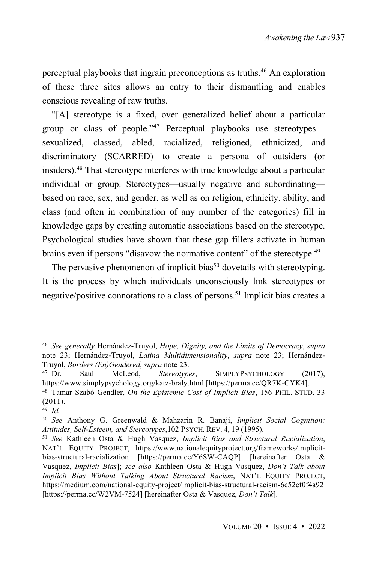perceptual playbooks that ingrain preconceptions as truths.<sup>46</sup> An exploration of these three sites allows an entry to their dismantling and enables conscious revealing of raw truths.

"[A] stereotype is a fixed, over generalized belief about a particular group or class of people."<sup>47</sup> Perceptual playbooks use stereotypes sexualized, classed, abled, racialized, religioned, ethnicized, and discriminatory (SCARRED)—to create a persona of outsiders (or insiders). <sup>48</sup> That stereotype interferes with true knowledge about a particular individual or group. Stereotypes—usually negative and subordinating based on race, sex, and gender, as well as on religion, ethnicity, ability, and class (and often in combination of any number of the categories) fill in knowledge gaps by creating automatic associations based on the stereotype. Psychological studies have shown that these gap fillers activate in human brains even if persons "disavow the normative content" of the stereotype.<sup>49</sup>

The pervasive phenomenon of implicit bias<sup>50</sup> dovetails with stereotyping. It is the process by which individuals unconsciously link stereotypes or negative/positive connotations to a class of persons.<sup>51</sup> Implicit bias creates a

<sup>46</sup> *See generally* Hernández-Truyol, *Hope, Dignity, and the Limits of Democracy*, *supra* note 23; Hernández-Truyol, *Latina Multidimensionality*, *supra* note 23; Hernández-Truyol, *Borders (En)Gendered*, *supra* note 23.

Saul McLeod, *Stereotypes*, SIMPLYPSYCHOLOGY (2017), https://www.simplypsychology.org/katz-braly.html [https://perma.cc/QR7K-CYK4].

<sup>48</sup> Tamar Szabó Gendler, *On the Epistemic Cost of Implicit Bias*, 156 PHIL. STUD. 33 (2011).

<sup>49</sup> *Id.*

<sup>50</sup> *See* Anthony G. Greenwald & Mahzarin R. Banaji, *Implicit Social Cognition: Attitudes, Self-Esteem, and Stereotypes*,102 PSYCH. REV. 4, 19 (1995).

<sup>51</sup> *See* Kathleen Osta & Hugh Vasquez, *Implicit Bias and Structural Racialization*, NAT'L EQUITY PROJECT, https://www.nationalequityproject.org/frameworks/implicitbias-structural-racialization [https://perma.cc/Y6SW-CAQP] [hereinafter Osta & Vasquez, *Implicit Bias*]; *see also* Kathleen Osta & Hugh Vasquez, *Don't Talk about Implicit Bias Without Talking About Structural Racism*, NAT'L EQUITY PROJECT, https://medium.com/national-equity-project/implicit-bias-structural-racism-6c52cf0f4a92 [https://perma.cc/W2VM-7524] [hereinafter Osta & Vasquez, *Don't Talk*].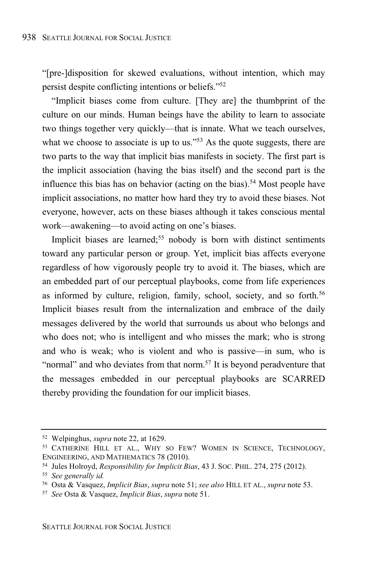"[pre-]disposition for skewed evaluations, without intention, which may persist despite conflicting intentions or beliefs."<sup>52</sup>

"Implicit biases come from culture. [They are] the thumbprint of the culture on our minds. Human beings have the ability to learn to associate two things together very quickly—that is innate. What we teach ourselves, what we choose to associate is up to us."<sup>53</sup> As the quote suggests, there are two parts to the way that implicit bias manifests in society. The first part is the implicit association (having the bias itself) and the second part is the influence this bias has on behavior (acting on the bias). <sup>54</sup> Most people have implicit associations, no matter how hard they try to avoid these biases. Not everyone, however, acts on these biases although it takes conscious mental work—awakening—to avoid acting on one's biases.

Implicit biases are learned;<sup>55</sup> nobody is born with distinct sentiments toward any particular person or group. Yet, implicit bias affects everyone regardless of how vigorously people try to avoid it. The biases, which are an embedded part of our perceptual playbooks, come from life experiences as informed by culture, religion, family, school, society, and so forth.<sup>56</sup> Implicit biases result from the internalization and embrace of the daily messages delivered by the world that surrounds us about who belongs and who does not; who is intelligent and who misses the mark; who is strong and who is weak; who is violent and who is passive—in sum, who is "normal" and who deviates from that norm.<sup>57</sup> It is beyond peradventure that the messages embedded in our perceptual playbooks are SCARRED thereby providing the foundation for our implicit biases.

<sup>52</sup> Welpinghus, *supra* note 22, at 1629.

<sup>53</sup> CATHERINE HILL ET AL., WHY SO FEW? WOMEN IN SCIENCE, TECHNOLOGY, ENGINEERING, AND MATHEMATICS 78 (2010).

<sup>54</sup> Jules Holroyd, *Responsibility for Implicit Bias*, 43 J. SOC. PHIL. 274, 275 (2012).

<sup>55</sup> *See generally id.*

<sup>56</sup> Osta & Vasquez, *Implicit Bias*, *supra* note 51; *see also* HILL ET AL., *supra* note 53.

<sup>57</sup> *See* Osta & Vasquez, *Implicit Bias*, *supra* note 51.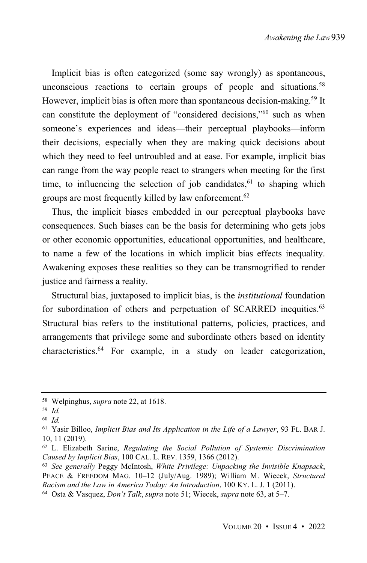Implicit bias is often categorized (some say wrongly) as spontaneous, unconscious reactions to certain groups of people and situations. 58 However, implicit bias is often more than spontaneous decision-making.<sup>59</sup> It can constitute the deployment of "considered decisions,"<sup>60</sup> such as when someone's experiences and ideas—their perceptual playbooks—inform their decisions, especially when they are making quick decisions about which they need to feel untroubled and at ease. For example, implicit bias can range from the way people react to strangers when meeting for the first time, to influencing the selection of job candidates,  $61$  to shaping which groups are most frequently killed by law enforcement.<sup>62</sup>

Thus, the implicit biases embedded in our perceptual playbooks have consequences. Such biases can be the basis for determining who gets jobs or other economic opportunities, educational opportunities, and healthcare, to name a few of the locations in which implicit bias effects inequality. Awakening exposes these realities so they can be transmogrified to render justice and fairness a reality.

Structural bias, juxtaposed to implicit bias, is the *institutional* foundation for subordination of others and perpetuation of SCARRED inequities.<sup>63</sup> Structural bias refers to the institutional patterns, policies, practices, and arrangements that privilege some and subordinate others based on identity characteristics.<sup>64</sup> For example, in a study on leader categorization,

<sup>58</sup> Welpinghus, *supra* note 22, at 1618.

<sup>59</sup> *Id.*

<sup>60</sup> *Id.*

<sup>61</sup> Yasir Billoo, *Implicit Bias and Its Application in the Life of a Lawyer*, 93 FL. BAR J. 10, 11 (2019).

<sup>62</sup> L. Elizabeth Sarine, *Regulating the Social Pollution of Systemic Discrimination Caused by Implicit Bias*, 100 CAL. L. REV. 1359, 1366 (2012).

<sup>63</sup> *See generally* Peggy McIntosh, *White Privilege: Unpacking the Invisible Knapsack*, PEACE & FREEDOM MAG. 10–12 (July/Aug. 1989); William M. Wiecek, *Structural Racism and the Law in America Today: An Introduction*, 100 KY. L. J. 1 (2011).

<sup>64</sup> Osta & Vasquez, *Don't Talk*, *supra* note 51; Wiecek, *supra* note 63, at 5–7.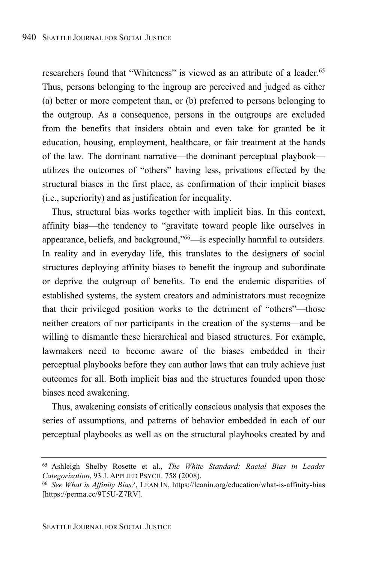researchers found that "Whiteness" is viewed as an attribute of a leader.<sup>65</sup> Thus, persons belonging to the ingroup are perceived and judged as either (a) better or more competent than, or (b) preferred to persons belonging to the outgroup. As a consequence, persons in the outgroups are excluded from the benefits that insiders obtain and even take for granted be it education, housing, employment, healthcare, or fair treatment at the hands of the law. The dominant narrative—the dominant perceptual playbook utilizes the outcomes of "others" having less, privations effected by the structural biases in the first place, as confirmation of their implicit biases (i.e., superiority) and as justification for inequality.

Thus, structural bias works together with implicit bias. In this context, affinity bias—the tendency to "gravitate toward people like ourselves in appearance, beliefs, and background,"<sup>66</sup>—is especially harmful to outsiders. In reality and in everyday life, this translates to the designers of social structures deploying affinity biases to benefit the ingroup and subordinate or deprive the outgroup of benefits. To end the endemic disparities of established systems, the system creators and administrators must recognize that their privileged position works to the detriment of "others"—those neither creators of nor participants in the creation of the systems—and be willing to dismantle these hierarchical and biased structures. For example, lawmakers need to become aware of the biases embedded in their perceptual playbooks before they can author laws that can truly achieve just outcomes for all. Both implicit bias and the structures founded upon those biases need awakening.

Thus, awakening consists of critically conscious analysis that exposes the series of assumptions, and patterns of behavior embedded in each of our perceptual playbooks as well as on the structural playbooks created by and

<sup>65</sup> Ashleigh Shelby Rosette et al., *The White Standard: Racial Bias in Leader Categorization*, 93 J. APPLIED PSYCH. 758 (2008).

<sup>66</sup> *See What is Affinity Bias?*, LEAN IN, https://leanin.org/education/what-is-affinity-bias [https://perma.cc/9T5U-Z7RV].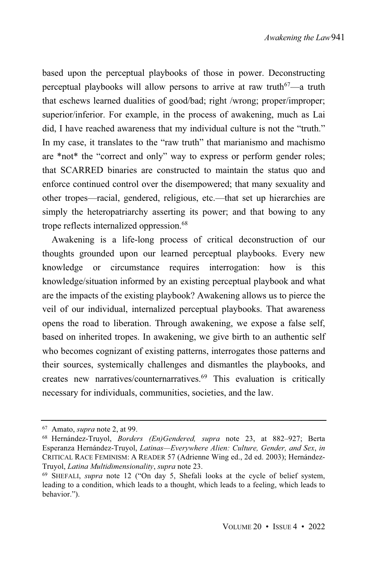based upon the perceptual playbooks of those in power. Deconstructing perceptual playbooks will allow persons to arrive at raw truth<sup>67</sup>—a truth that eschews learned dualities of good/bad; right /wrong; proper/improper; superior/inferior. For example, in the process of awakening, much as Lai did, I have reached awareness that my individual culture is not the "truth." In my case, it translates to the "raw truth" that marianismo and machismo are \*not\* the "correct and only" way to express or perform gender roles; that SCARRED binaries are constructed to maintain the status quo and enforce continued control over the disempowered; that many sexuality and other tropes—racial, gendered, religious, etc.—that set up hierarchies are simply the heteropatriarchy asserting its power; and that bowing to any trope reflects internalized oppression.<sup>68</sup>

Awakening is a life-long process of critical deconstruction of our thoughts grounded upon our learned perceptual playbooks. Every new knowledge or circumstance requires interrogation: how is this knowledge/situation informed by an existing perceptual playbook and what are the impacts of the existing playbook? Awakening allows us to pierce the veil of our individual, internalized perceptual playbooks. That awareness opens the road to liberation. Through awakening, we expose a false self, based on inherited tropes. In awakening, we give birth to an authentic self who becomes cognizant of existing patterns, interrogates those patterns and their sources, systemically challenges and dismantles the playbooks, and creates new narratives/counternarratives.<sup>69</sup> This evaluation is critically necessary for individuals, communities, societies, and the law.

<sup>67</sup> Amato, *supra* note 2, at 99.

<sup>68</sup> Hernández-Truyol, *Borders (En)Gendered, supra* note 23, at 882–927; Berta Esperanza Hernández-Truyol, *Latinas—Everywhere Alien: Culture, Gender, and Sex*, *in* CRITICAL RACE FEMINISM: A READER 57 (Adrienne Wing ed., 2d ed. 2003); Hernández-Truyol, *Latina Multidimensionality*, *supra* note 23.

<sup>69</sup> SHEFALI, *supra* note 12 ("On day 5, Shefali looks at the cycle of belief system, leading to a condition, which leads to a thought, which leads to a feeling, which leads to behavior.").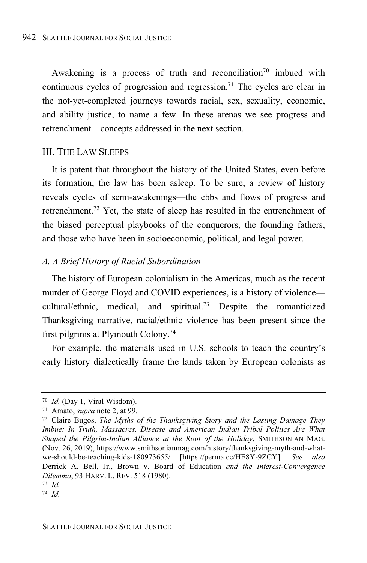Awakening is a process of truth and reconciliation<sup>70</sup> imbued with continuous cycles of progression and regression.<sup>71</sup> The cycles are clear in the not-yet-completed journeys towards racial, sex, sexuality, economic, and ability justice, to name a few. In these arenas we see progress and retrenchment—concepts addressed in the next section.

#### III. THE LAW SLEEPS

It is patent that throughout the history of the United States, even before its formation, the law has been asleep. To be sure, a review of history reveals cycles of semi-awakenings—the ebbs and flows of progress and retrenchment.<sup>72</sup> Yet, the state of sleep has resulted in the entrenchment of the biased perceptual playbooks of the conquerors, the founding fathers, and those who have been in socioeconomic, political, and legal power.

#### *A. A Brief History of Racial Subordination*

The history of European colonialism in the Americas, much as the recent murder of George Floyd and COVID experiences, is a history of violence cultural/ethnic, medical, and spiritual.<sup>73</sup> Despite the romanticized Thanksgiving narrative, racial/ethnic violence has been present since the first pilgrims at Plymouth Colony.<sup>74</sup>

For example, the materials used in U.S. schools to teach the country's early history dialectically frame the lands taken by European colonists as

<sup>70</sup> *Id.* (Day 1, Viral Wisdom).

<sup>71</sup> Amato, *supra* note 2, at 99.

<sup>72</sup> Claire Bugos, *The Myths of the Thanksgiving Story and the Lasting Damage They Imbue: In Truth, Massacres, Disease and American Indian Tribal Politics Are What Shaped the Pilgrim-Indian Alliance at the Root of the Holiday*, SMITHSONIAN MAG. (Nov. 26, 2019), https://www.smithsonianmag.com/history/thanksgiving-myth-and-whatwe-should-be-teaching-kids-180973655/ [https://perma.cc/HE8Y-9ZCY]. *See also* Derrick A. Bell, Jr., Brown v. Board of Education *and the Interest-Convergence Dilemma*, 93 HARV. L. REV. 518 (1980).

<sup>73</sup> *Id.*

<sup>74</sup> *Id.*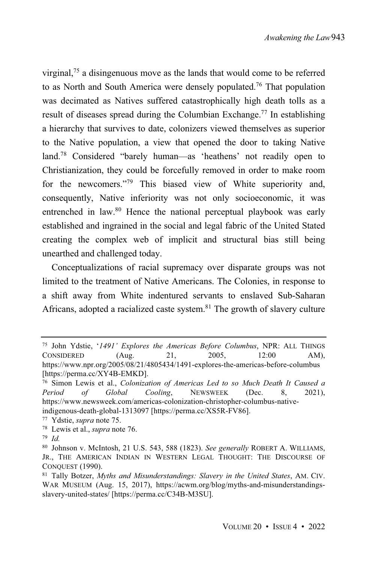virginal,<sup>75</sup> a disingenuous move as the lands that would come to be referred to as North and South America were densely populated.<sup>76</sup> That population was decimated as Natives suffered catastrophically high death tolls as a result of diseases spread during the Columbian Exchange.<sup>77</sup> In establishing a hierarchy that survives to date, colonizers viewed themselves as superior to the Native population, a view that opened the door to taking Native land. <sup>78</sup> Considered "barely human—as 'heathens' not readily open to Christianization, they could be forcefully removed in order to make room for the newcomers."<sup>79</sup> This biased view of White superiority and, consequently, Native inferiority was not only socioeconomic, it was entrenched in law.<sup>80</sup> Hence the national perceptual playbook was early established and ingrained in the social and legal fabric of the United Stated creating the complex web of implicit and structural bias still being unearthed and challenged today.

Conceptualizations of racial supremacy over disparate groups was not limited to the treatment of Native Americans. The Colonies, in response to a shift away from White indentured servants to enslaved Sub-Saharan Africans, adopted a racialized caste system. $81$  The growth of slavery culture

<sup>77</sup> Ydstie, *supra* note 75. <sup>78</sup> Lewis et al., *supra* note 76.

<sup>75</sup> John Ydstie, '*1491' Explores the Americas Before Columbus*, NPR: ALL THINGS CONSIDERED (Aug. 21, 2005, 12:00 AM), https://www.npr.org/2005/08/21/4805434/1491-explores-the-americas-before-columbus [https://perma.cc/XY4B-EMKD].

<sup>76</sup> Simon Lewis et al., *Colonization of Americas Led to so Much Death It Caused a Period of Global Cooling*, NEWSWEEK (Dec. 8, 2021), https://www.newsweek.com/americas-colonization-christopher-columbus-nativeindigenous-death-global-1313097 [https://perma.cc/XS5R-FV86].

<sup>79</sup> *Id.*

<sup>80</sup> Johnson v. McIntosh, 21 U.S. 543, 588 (1823). *See generally* ROBERT A. WILLIAMS, JR., THE AMERICAN INDIAN IN WESTERN LEGAL THOUGHT: THE DISCOURSE OF CONQUEST (1990).

<sup>81</sup> Tally Botzer, *Myths and Misunderstandings: Slavery in the United States*, AM. CIV. WAR MUSEUM (Aug. 15, 2017), https://acwm.org/blog/myths-and-misunderstandingsslavery-united-states/ [https://perma.cc/C34B-M3SU].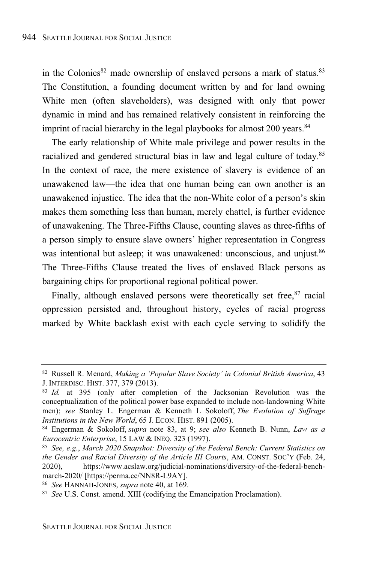in the Colonies<sup>82</sup> made ownership of enslaved persons a mark of status.<sup>83</sup> The Constitution, a founding document written by and for land owning White men (often slaveholders), was designed with only that power dynamic in mind and has remained relatively consistent in reinforcing the imprint of racial hierarchy in the legal playbooks for almost 200 years.<sup>84</sup>

The early relationship of White male privilege and power results in the racialized and gendered structural bias in law and legal culture of today.<sup>85</sup> In the context of race, the mere existence of slavery is evidence of an unawakened law—the idea that one human being can own another is an unawakened injustice. The idea that the non-White color of a person's skin makes them something less than human, merely chattel, is further evidence of unawakening. The Three-Fifths Clause, counting slaves as three-fifths of a person simply to ensure slave owners' higher representation in Congress was intentional but asleep; it was unawakened: unconscious, and unjust.<sup>86</sup> The Three-Fifths Clause treated the lives of enslaved Black persons as bargaining chips for proportional regional political power.

Finally, although enslaved persons were theoretically set free, $87$  racial oppression persisted and, throughout history, cycles of racial progress marked by White backlash exist with each cycle serving to solidify the

<sup>82</sup> Russell R. Menard, *Making a 'Popular Slave Society' in Colonial British America*, 43 J. INTERDISC. HIST. 377, 379 (2013).

<sup>83</sup> *Id.* at 395 (only after completion of the Jacksonian Revolution was the conceptualization of the political power base expanded to include non-landowning White men); *see* Stanley L. Engerman & Kenneth L Sokoloff, *The Evolution of Suffrage Institutions in the New World*, 65 J. ECON. HIST. 891 (2005).

<sup>84</sup> Engerman & Sokoloff, *supra* note 83, at 9; *see also* Kenneth B. Nunn, *Law as a Eurocentric Enterprise*, 15 LAW & INEQ. 323 (1997).

<sup>85</sup> *See, e.g.*, *March 2020 Snapshot: Diversity of the Federal Bench: Current Statistics on the Gender and Racial Diversity of the Article III Courts*, AM. CONST. SOC'Y (Feb. 24, 2020), https://www.acslaw.org/judicial-nominations/diversity-of-the-federal-benchmarch-2020/ [https://perma.cc/NN8R-L9AY].

<sup>86</sup> *See* HANNAH-JONES, *supra* note 40, at 169.

<sup>87</sup> *See* U.S. Const. amend. XIII (codifying the Emancipation Proclamation).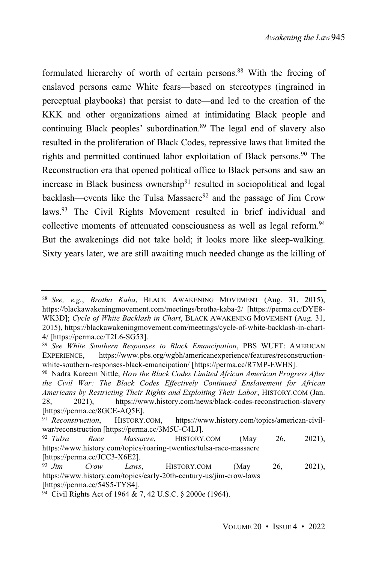formulated hierarchy of worth of certain persons.<sup>88</sup> With the freeing of enslaved persons came White fears—based on stereotypes (ingrained in perceptual playbooks) that persist to date—and led to the creation of the KKK and other organizations aimed at intimidating Black people and continuing Black peoples' subordination. <sup>89</sup> The legal end of slavery also resulted in the proliferation of Black Codes, repressive laws that limited the rights and permitted continued labor exploitation of Black persons.<sup>90</sup> The Reconstruction era that opened political office to Black persons and saw an increase in Black business ownership<sup>91</sup> resulted in sociopolitical and legal backlash—events like the Tulsa Massacre<sup>92</sup> and the passage of Jim Crow laws.<sup>93</sup> The Civil Rights Movement resulted in brief individual and collective moments of attenuated consciousness as well as legal reform. 94 But the awakenings did not take hold; it looks more like sleep-walking. Sixty years later, we are still awaiting much needed change as the killing of

<sup>88</sup> *See, e.g.*, *Brotha Kaba*, BLACK AWAKENING MOVEMENT (Aug. 31, 2015), https://blackawakeningmovement.com/meetings/brotha-kaba-2/ [https://perma.cc/DYE8- WK3D]; *Cycle of White Backlash in Chart*, BLACK AWAKENING MOVEMENT (Aug. 31, 2015), https://blackawakeningmovement.com/meetings/cycle-of-white-backlash-in-chart-4/ [https://perma.cc/T2L6-SG53].

<sup>89</sup> *See White Southern Responses to Black Emancipation*, PBS WUFT: AMERICAN EXPERIENCE, https://www.pbs.org/wgbh/americanexperience/features/reconstructionwhite-southern-responses-black-emancipation/ [https://perma.cc/R7MP-EWHS].

<sup>90</sup> Nadra Kareem Nittle, *How the Black Codes Limited African American Progress After the Civil War: The Black Codes Effectively Continued Enslavement for African Americans by Restricting Their Rights and Exploiting Their Labor*, HISTORY.COM (Jan. 28, 2021), https://www.history.com/news/black-codes-reconstruction-slavery [https://perma.cc/8GCE-AQ5E].

<sup>91</sup> *Reconstruction*, HISTORY.COM, https://www.history.com/topics/american-civilwar/reconstruction [https://perma.cc/3M5U-C4LJ].

<sup>92</sup> *Tulsa Race Massacre*, HISTORY.COM (May 26, 2021), https://www.history.com/topics/roaring-twenties/tulsa-race-massacre [https://perma.cc/JCC3-X6E2].

<sup>93</sup> *Jim Crow Laws*, HISTORY.COM (May 26, 2021), https://www.history.com/topics/early-20th-century-us/jim-crow-laws [https://perma.cc/54S5-TYS4].

<sup>94</sup> Civil Rights Act of 1964 & 7, 42 U.S.C. § 2000e (1964).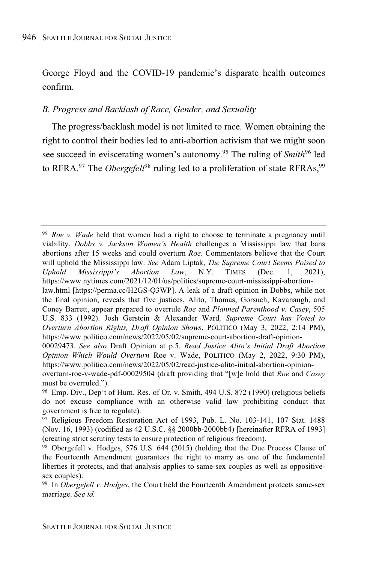George Floyd and the COVID-19 pandemic's disparate health outcomes confirm.

#### *B. Progress and Backlash of Race, Gender, and Sexuality*

The progress/backlash model is not limited to race. Women obtaining the right to control their bodies led to anti-abortion activism that we might soon see succeed in eviscerating women's autonomy.<sup>95</sup> The ruling of *Smith*<sup>96</sup> led to RFRA.<sup>97</sup> The *Obergefell*<sup>98</sup> ruling led to a proliferation of state RFRAs,<sup>99</sup>

<sup>95</sup> *Roe v. Wade* held that women had a right to choose to terminate a pregnancy until viability. *Dobbs v. Jackson Women's Health* challenges a Mississippi law that bans abortions after 15 weeks and could overturn *Roe*. Commentators believe that the Court will uphold the Mississippi law. *See* Adam Liptak, *The Supreme Court Seems Poised to Uphold Mississippi's Abortion Law*, N.Y. TIMES (Dec. 1, 2021), https://www.nytimes.com/2021/12/01/us/politics/supreme-court-mississippi-abortion-

law.html [https://perma.cc/H2GS-Q3WP]. A leak of a draft opinion in Dobbs, while not the final opinion, reveals that five justices, Alito, Thomas, Gorsuch, Kavanaugh, and Coney Barrett, appear prepared to overrule *Roe* and *Planned Parenthood v. Casey*, 505 U.S. 833 (1992). Josh Gerstein & Alexander Ward*, Supreme Court has Voted to Overturn Abortion Rights, Draft Opinion Shows*, POLITICO (May 3, 2022, 2:14 PM), https://www.politico.com/news/2022/05/02/supreme-court-abortion-draft-opinion-

<sup>00029473.</sup> *See also* Draft Opinion at p.5. *Read Justice Alito's Initial Draft Abortion Opinion Which Would Overturn* Roe v. Wade, POLITICO (May 2, 2022, 9:30 PM), https://www.politico.com/news/2022/05/02/read-justice-alito-initial-abortion-opinion-

overturn-roe-v-wade-pdf-00029504 (draft providing that "[w]e hold that *Roe* and *Casey* must be overruled.").

<sup>96</sup> Emp. Div., Dep't of Hum. Res. of Or. v. Smith, 494 U.S. 872 (1990) (religious beliefs do not excuse compliance with an otherwise valid law prohibiting conduct that government is free to regulate).

<sup>97</sup> Religious Freedom Restoration Act of 1993, Pub. L. No. 103-141, 107 Stat. 1488 (Nov. 16, 1993) (codified as 42 U.S.C. §§ 2000bb-2000bb4) [hereinafter RFRA of 1993] (creating strict scrutiny tests to ensure protection of religious freedom).

<sup>98</sup> Obergefell v. Hodges, 576 U.S. 644 (2015) (holding that the Due Process Clause of the Fourteenth Amendment guarantees the right to marry as one of the fundamental liberties it protects, and that analysis applies to same-sex couples as well as oppositivesex couples).

<sup>99</sup> In *Obergefell v. Hodges*, the Court held the Fourteenth Amendment protects same-sex marriage. *See id.*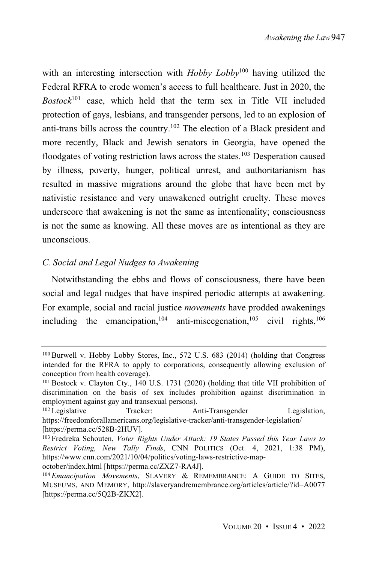with an interesting intersection with *Hobby Lobby*<sup>100</sup> having utilized the Federal RFRA to erode women's access to full healthcare. Just in 2020, the *Bostock*<sup>101</sup> case, which held that the term sex in Title VII included protection of gays, lesbians, and transgender persons, led to an explosion of anti-trans bills across the country.<sup>102</sup> The election of a Black president and more recently, Black and Jewish senators in Georgia, have opened the floodgates of voting restriction laws across the states.<sup>103</sup> Desperation caused by illness, poverty, hunger, political unrest, and authoritarianism has resulted in massive migrations around the globe that have been met by nativistic resistance and very unawakened outright cruelty. These moves underscore that awakening is not the same as intentionality; consciousness is not the same as knowing. All these moves are as intentional as they are unconscious.

#### *C. Social and Legal Nudges to Awakening*

Notwithstanding the ebbs and flows of consciousness, there have been social and legal nudges that have inspired periodic attempts at awakening. For example, social and racial justice *movements* have prodded awakenings including the emancipation,  $104$  anti-miscegenation,  $105$  civil rights,  $106$ 

<sup>100</sup> Burwell v. Hobby Lobby Stores, Inc., 572 U.S. 683 (2014) (holding that Congress intended for the RFRA to apply to corporations, consequently allowing exclusion of conception from health coverage).

<sup>101</sup> Bostock v. Clayton Cty., 140 U.S. 1731 (2020) (holding that title VII prohibition of discrimination on the basis of sex includes prohibition against discrimination in employment against gay and transexual persons).<br><sup>102</sup> Legislative Tracker: Al

Tracker: Anti-Transgender Legislation, https://freedomforallamericans.org/legislative-tracker/anti-transgender-legislation/ [https://perma.cc/528B-2HUV].

<sup>103</sup> Fredreka Schouten, *Voter Rights Under Attack: 19 States Passed this Year Laws to Restrict Voting, New Tally Finds*, CNN POLITICS (Oct. 4, 2021, 1:38 PM), https://www.cnn.com/2021/10/04/politics/voting-laws-restrictive-map-

october/index.html [https://perma.cc/ZXZ7-RA4J].

<sup>104</sup> *Emancipation Movements*, SLAVERY & REMEMBRANCE: A GUIDE TO SITES, MUSEUMS, AND MEMORY, http://slaveryandremembrance.org/articles/article/?id=A0077 [https://perma.cc/5Q2B-ZKX2].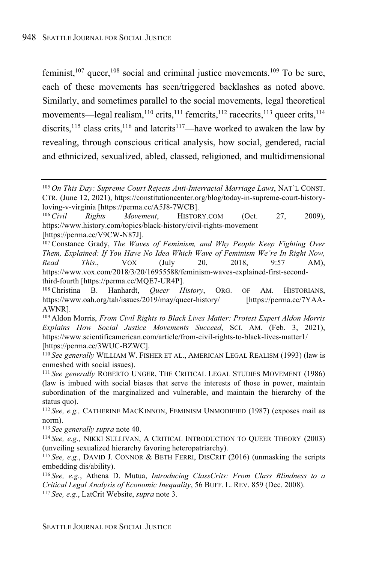feminist,  $107$  queer,  $108$  social and criminal justice movements.  $109$  To be sure, each of these movements has seen/triggered backlashes as noted above. Similarly, and sometimes parallel to the social movements, legal theoretical movements—legal realism,<sup>110</sup> crits,<sup>111</sup> femcrits,<sup>112</sup> racecrits,<sup>113</sup> queer crits,<sup>114</sup> discrits,<sup>115</sup> class crits,<sup>116</sup> and laterits<sup>117</sup>—have worked to awaken the law by revealing, through conscious critical analysis, how social, gendered, racial and ethnicized, sexualized, abled, classed, religioned, and multidimensional

<sup>113</sup> *See generally supra* note 40.

<sup>114</sup> *See, e.g.,* NIKKI SULLIVAN, A CRITICAL INTRODUCTION TO QUEER THEORY (2003) (unveiling sexualized hierarchy favoring heteropatriarchy).

<sup>105</sup> *On This Day: Supreme Court Rejects Anti-Interracial Marriage Laws*, NAT'L CONST. CTR. (June 12, 2021), https://constitutioncenter.org/blog/today-in-supreme-court-historyloving-v-virginia [https://perma.cc/A5J8-7WCB].

<sup>106</sup> *Civil Rights Movement*, HISTORY.COM (Oct. 27, 2009), https://www.history.com/topics/black-history/civil-rights-movement [https://perma.cc/V9CW-N87J].

<sup>107</sup> Constance Grady, *The Waves of Feminism, and Why People Keep Fighting Over Them, Explained: If You Have No Idea Which Wave of Feminism We're In Right Now, Read This*., VOX (July 20, 2018, 9:57 AM), https://www.vox.com/2018/3/20/16955588/feminism-waves-explained-first-secondthird-fourth [https://perma.cc/MQE7-UR4P].

<sup>108</sup> Christina B. Hanhardt, *Queer History*, ORG. OF AM. HISTORIANS, https://www.oah.org/tah/issues/2019/may/queer-history/ [https://perma.cc/7YAA-AWNR].

<sup>109</sup> Aldon Morris, *From Civil Rights to Black Lives Matter: Protest Expert Aldon Morris Explains How Social Justice Movements Succeed*, SCI. AM. (Feb. 3, 2021), https://www.scientificamerican.com/article/from-civil-rights-to-black-lives-matter1/ [https://perma.cc/3WUC-BZWC].

<sup>110</sup> *See generally* WILLIAM W. FISHER ET AL., AMERICAN LEGAL REALISM (1993) (law is enmeshed with social issues).

<sup>111</sup> *See generally* ROBERTO UNGER, THE CRITICAL LEGAL STUDIES MOVEMENT (1986) (law is imbued with social biases that serve the interests of those in power, maintain subordination of the marginalized and vulnerable, and maintain the hierarchy of the status quo).

<sup>112</sup> *See, e.g.,* CATHERINE MACKINNON, FEMINISM UNMODIFIED (1987) (exposes mail as norm).

<sup>115</sup> *See, e.g.*, DAVID J. CONNOR & BETH FERRI, DISCRIT (2016) (unmasking the scripts embedding dis/ability).

<sup>116</sup> *See, e.g.*, Athena D. Mutua, *Introducing ClassCrits: From Class Blindness to a Critical Legal Analysis of Economic Inequality*, 56 BUFF. L. REV. 859 (Dec. 2008). <sup>117</sup> *See, e.g.*, LatCrit Website, *supra* note 3.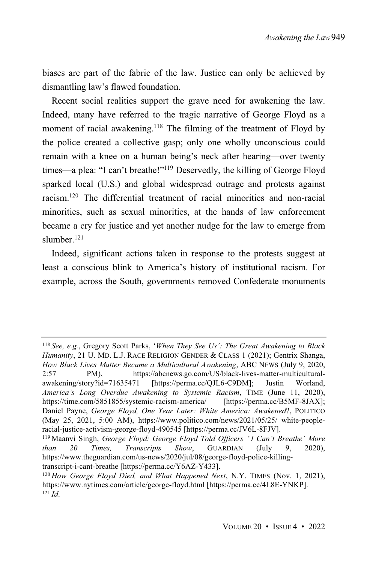biases are part of the fabric of the law. Justice can only be achieved by dismantling law's flawed foundation.

Recent social realities support the grave need for awakening the law. Indeed, many have referred to the tragic narrative of George Floyd as a moment of racial awakening.<sup>118</sup> The filming of the treatment of Floyd by the police created a collective gasp; only one wholly unconscious could remain with a knee on a human being's neck after hearing—over twenty times—a plea: "I can't breathe!"<sup>119</sup> Deservedly, the killing of George Floyd sparked local (U.S.) and global widespread outrage and protests against racism. <sup>120</sup> The differential treatment of racial minorities and non-racial minorities, such as sexual minorities, at the hands of law enforcement became a cry for justice and yet another nudge for the law to emerge from slumber<sup>121</sup>

Indeed, significant actions taken in response to the protests suggest at least a conscious blink to America's history of institutional racism. For example, across the South, governments removed Confederate monuments

<sup>118</sup> *See, e.g.*, Gregory Scott Parks, '*When They See Us': The Great Awakening to Black Humanity*, 21 U. MD. L.J. RACE RELIGION GENDER & CLASS 1 (2021); Gentrix Shanga, *How Black Lives Matter Became a Multicultural Awakening*, ABC NEWS (July 9, 2020, 2:57 PM), https://abcnews.go.com/US/black-lives-matter-multiculturalawakening/story?id=71635471 [https://perma.cc/QJL6-C9DM]; Justin Worland, *America's Long Overdue Awakening to Systemic Racism*, TIME (June 11, 2020), https://time.com/5851855/systemic-racism-america/ [https://perma.cc/B5MF-8JAX]; Daniel Payne, *George Floyd, One Year Later: White America: Awakened*?, POLITICO (May 25, 2021, 5:00 AM), https://www.politico.com/news/2021/05/25/ white-peopleracial-justice-activism-george-floyd-490545 [https://perma.cc/JV6L-8FJV].

<sup>119</sup> Maanvi Singh, *George Floyd: George Floyd Told Officers "I Can't Breathe' More than 20 Times, Transcripts Show*, GUARDIAN (July 9, 2020), https://www.theguardian.com/us-news/2020/jul/08/george-floyd-police-killingtranscript-i-cant-breathe [https://perma.cc/Y6AZ-Y433].

<sup>120</sup> *How George Floyd Died, and What Happened Next*, N.Y. TIMES (Nov. 1, 2021), https://www.nytimes.com/article/george-floyd.html [https://perma.cc/4L8E-YNKP]. <sup>121</sup> *Id*.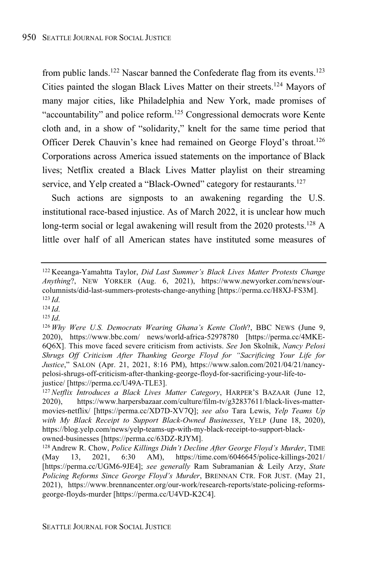from public lands.<sup>122</sup> Nascar banned the Confederate flag from its events.<sup>123</sup> Cities painted the slogan Black Lives Matter on their streets.<sup>124</sup> Mayors of many major cities, like Philadelphia and New York, made promises of "accountability" and police reform.<sup>125</sup> Congressional democrats wore Kente cloth and, in a show of "solidarity," knelt for the same time period that Officer Derek Chauvin's knee had remained on George Floyd's throat.<sup>126</sup> Corporations across America issued statements on the importance of Black lives; Netflix created a Black Lives Matter playlist on their streaming service, and Yelp created a "Black-Owned" category for restaurants.<sup>127</sup>

Such actions are signposts to an awakening regarding the U.S. institutional race-based injustice. As of March 2022, it is unclear how much long-term social or legal awakening will result from the 2020 protests.<sup>128</sup> A little over half of all American states have instituted some measures of

<sup>124</sup> *Id*.

<sup>125</sup> *Id*.

<sup>122</sup> Keeanga-Yamahtta Taylor, *Did Last Summer's Black Lives Matter Protests Change Anything*?, NEW YORKER (Aug. 6, 2021), https://www.newyorker.com/news/ourcolumnists/did-last-summers-protests-change-anything [https://perma.cc/H8XJ-FS3M]. <sup>123</sup> *Id*.

<sup>126</sup> *Why Were U.S. Democrats Wearing Ghana's Kente Cloth*?, BBC NEWS (June 9, 2020), https://www.bbc.com/ news/world-africa-52978780 [https://perma.cc/4MKE-6Q6X]. This move faced severe criticism from activists. *See* Jon Skolnik, *Nancy Pelosi Shrugs Off Criticism After Thanking George Floyd for "Sacrificing Your Life for Justice*," SALON (Apr. 21, 2021, 8:16 PM), https://www.salon.com/2021/04/21/nancypelosi-shrugs-off-criticism-after-thanking-george-floyd-for-sacrificing-your-life-tojustice/ [https://perma.cc/U49A-TLE3].

<sup>127</sup> *Netflix Introduces a Black Lives Matter Category*, HARPER'S BAZAAR (June 12, 2020), https://www.harpersbazaar.com/culture/film-tv/g32837611/black-lives-mattermovies-netflix/ [https://perma.cc/XD7D-XV7Q]; *see also* Tara Lewis, *Yelp Teams Up with My Black Receipt to Support Black-Owned Businesses*, YELP (June 18, 2020), https://blog.yelp.com/news/yelp-teams-up-with-my-black-receipt-to-support-blackowned-businesses [https://perma.cc/63DZ-RJYM].

<sup>128</sup> Andrew R. Chow, *Police Killings Didn't Decline After George Floyd's Murder*, TIME (May 13, 2021, 6:30 AM), https://time.com/6046645/police-killings-2021/ [https://perma.cc/UGM6-9JE4]; *see generally* Ram Subramanian & Leily Arzy, *State Policing Reforms Since George Floyd's Murder*, BRENNAN CTR. FOR JUST. (May 21, 2021), https://www.brennancenter.org/our-work/research-reports/state-policing-reformsgeorge-floyds-murder [https://perma.cc/U4VD-K2C4].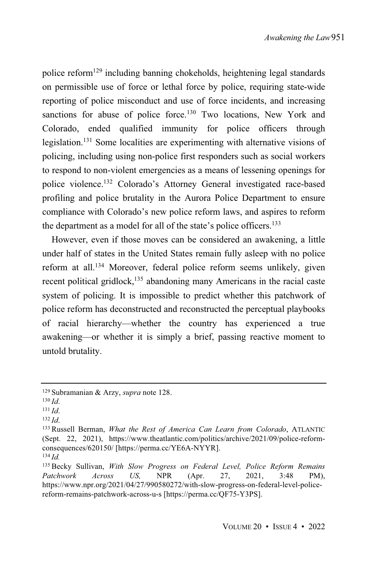police reform<sup>129</sup> including banning chokeholds, heightening legal standards on permissible use of force or lethal force by police, requiring state-wide reporting of police misconduct and use of force incidents, and increasing sanctions for abuse of police force.<sup>130</sup> Two locations, New York and Colorado, ended qualified immunity for police officers through legislation. <sup>131</sup> Some localities are experimenting with alternative visions of policing, including using non-police first responders such as social workers to respond to non-violent emergencies as a means of lessening openings for police violence. <sup>132</sup> Colorado's Attorney General investigated race-based profiling and police brutality in the Aurora Police Department to ensure compliance with Colorado's new police reform laws, and aspires to reform the department as a model for all of the state's police officers.<sup>133</sup>

However, even if those moves can be considered an awakening, a little under half of states in the United States remain fully asleep with no police reform at all.<sup>134</sup> Moreover, federal police reform seems unlikely, given recent political gridlock,<sup>135</sup> abandoning many Americans in the racial caste system of policing. It is impossible to predict whether this patchwork of police reform has deconstructed and reconstructed the perceptual playbooks of racial hierarchy—whether the country has experienced a true awakening—or whether it is simply a brief, passing reactive moment to untold brutality.

<sup>129</sup> Subramanian & Arzy, *supra* note 128.

<sup>130</sup> *Id*.

<sup>131</sup> *Id*.

<sup>132</sup> *Id*.

<sup>133</sup> Russell Berman, *What the Rest of America Can Learn from Colorado*, ATLANTIC (Sept. 22, 2021), https://www.theatlantic.com/politics/archive/2021/09/police-reformconsequences/620150/ [https://perma.cc/YE6A-NYYR]. <sup>134</sup> *Id.*

<sup>135</sup> Becky Sullivan, *With Slow Progress on Federal Level, Police Reform Remains Patchwork Across US,* NPR (Apr. 27, 2021, 3:48 PM), https://www.npr.org/2021/04/27/990580272/with-slow-progress-on-federal-level-policereform-remains-patchwork-across-u-s [https://perma.cc/QF75-Y3PS].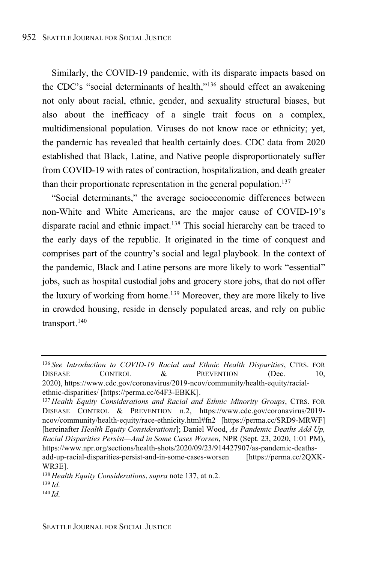Similarly, the COVID-19 pandemic, with its disparate impacts based on the CDC's "social determinants of health,"<sup>136</sup> should effect an awakening not only about racial, ethnic, gender, and sexuality structural biases, but also about the inefficacy of a single trait focus on a complex, multidimensional population. Viruses do not know race or ethnicity; yet, the pandemic has revealed that health certainly does. CDC data from 2020 established that Black, Latine, and Native people disproportionately suffer from COVID-19 with rates of contraction, hospitalization, and death greater than their proportionate representation in the general population.<sup>137</sup>

"Social determinants," the average socioeconomic differences between non-White and White Americans, are the major cause of COVID-19's disparate racial and ethnic impact. <sup>138</sup> This social hierarchy can be traced to the early days of the republic. It originated in the time of conquest and comprises part of the country's social and legal playbook. In the context of the pandemic, Black and Latine persons are more likely to work "essential" jobs, such as hospital custodial jobs and grocery store jobs, that do not offer the luxury of working from home. <sup>139</sup> Moreover, they are more likely to live in crowded housing, reside in densely populated areas, and rely on public transport. 140

<sup>136</sup> *See Introduction to COVID-19 Racial and Ethnic Health Disparities*, CTRS. FOR DISEASE CONTROL & PREVENTION (Dec. 10, 2020), https://www.cdc.gov/coronavirus/2019-ncov/community/health-equity/racialethnic-disparities/ [https://perma.cc/64F3-EBKK].

<sup>137</sup> *Health Equity Considerations and Racial and Ethnic Minority Groups*, CTRS. FOR DISEASE CONTROL & PREVENTION n.2, https://www.cdc.gov/coronavirus/2019 ncov/community/health-equity/race-ethnicity.html#fn2 [https://perma.cc/SRD9-MRWF] [hereinafter *Health Equity Considerations*]; Daniel Wood, *As Pandemic Deaths Add Up, Racial Disparities Persist—And in Some Cases Worsen*, NPR (Sept. 23, 2020, 1:01 PM), https://www.npr.org/sections/health-shots/2020/09/23/914427907/as-pandemic-deathsadd-up-racial-disparities-persist-and-in-some-cases-worsen [https://perma.cc/2QXK-WR3E].

<sup>138</sup> *Health Equity Considerations*, *supra* note 137, at n.2.

<sup>139</sup> *Id*.

<sup>140</sup> *Id*.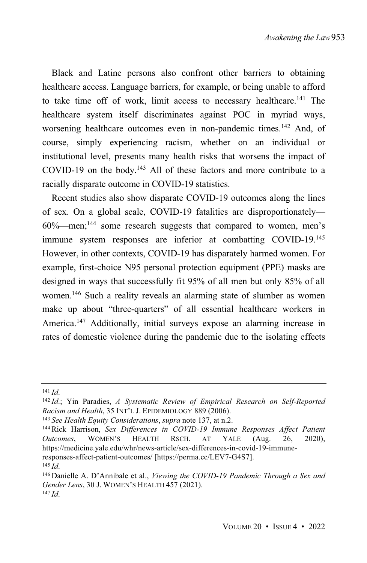Black and Latine persons also confront other barriers to obtaining healthcare access. Language barriers, for example, or being unable to afford to take time off of work, limit access to necessary healthcare.<sup>141</sup> The healthcare system itself discriminates against POC in myriad ways, worsening healthcare outcomes even in non-pandemic times.<sup>142</sup> And, of course, simply experiencing racism, whether on an individual or institutional level, presents many health risks that worsens the impact of COVID-19 on the body.<sup>143</sup> All of these factors and more contribute to a racially disparate outcome in COVID-19 statistics.

Recent studies also show disparate COVID-19 outcomes along the lines of sex. On a global scale, COVID-19 fatalities are disproportionately— 60%—men;<sup>144</sup> some research suggests that compared to women, men's immune system responses are inferior at combatting COVID-19.<sup>145</sup> However, in other contexts, COVID-19 has disparately harmed women. For example, first-choice N95 personal protection equipment (PPE) masks are designed in ways that successfully fit 95% of all men but only 85% of all women.<sup>146</sup> Such a reality reveals an alarming state of slumber as women make up about "three-quarters" of all essential healthcare workers in America.<sup>147</sup> Additionally, initial surveys expose an alarming increase in rates of domestic violence during the pandemic due to the isolating effects

<sup>141</sup> *Id*.

<sup>142</sup> *Id*.; Yin Paradies, *A Systematic Review of Empirical Research on Self-Reported Racism and Health*, 35 INT'L J. EPIDEMIOLOGY 889 (2006).

<sup>143</sup> *See Health Equity Considerations*, *supra* note 137, at n.2.

<sup>144</sup> Rick Harrison, *Sex Differences in COVID-19 Immune Responses Affect Patient Outcomes*, WOMEN'S HEALTH RSCH. AT YALE (Aug. 26, 2020), https://medicine.yale.edu/whr/news-article/sex-differences-in-covid-19-immuneresponses-affect-patient-outcomes/ [https://perma.cc/LEV7-G4S7].

<sup>145</sup> *Id*.

<sup>146</sup> Danielle A. D'Annibale et al., *Viewing the COVID-19 Pandemic Through a Sex and Gender Lens*, 30 J. WOMEN'S HEALTH 457 (2021). <sup>147</sup> *Id*.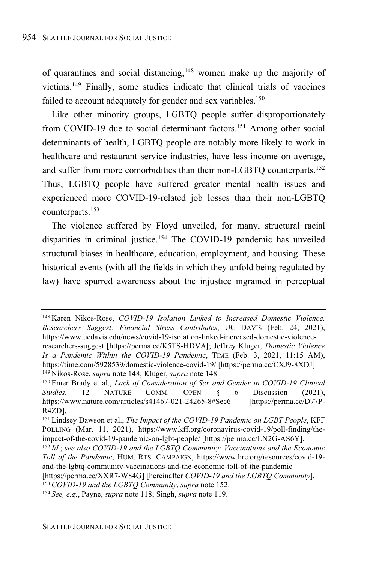of quarantines and social distancing;<sup>148</sup> women make up the majority of victims. <sup>149</sup> Finally, some studies indicate that clinical trials of vaccines failed to account adequately for gender and sex variables.<sup>150</sup>

Like other minority groups, LGBTQ people suffer disproportionately from COVID-19 due to social determinant factors.<sup>151</sup> Among other social determinants of health, LGBTQ people are notably more likely to work in healthcare and restaurant service industries, have less income on average, and suffer from more comorbidities than their non-LGBTQ counterparts. 152 Thus, LGBTQ people have suffered greater mental health issues and experienced more COVID-19-related job losses than their non-LGBTQ counterparts.<sup>153</sup>

The violence suffered by Floyd unveiled, for many, structural racial disparities in criminal justice.<sup>154</sup> The COVID-19 pandemic has unveiled structural biases in healthcare, education, employment, and housing. These historical events (with all the fields in which they unfold being regulated by law) have spurred awareness about the injustice ingrained in perceptual

<sup>148</sup> Karen Nikos-Rose, *COVID-19 Isolation Linked to Increased Domestic Violence, Researchers Suggest: Financial Stress Contributes*, UC DAVIS (Feb. 24, 2021), https://www.ucdavis.edu/news/covid-19-isolation-linked-increased-domestic-violenceresearchers-suggest [https://perma.cc/K5TS-HDVA**]**; Jeffrey Kluger, *Domestic Violence*

*Is a Pandemic Within the COVID-19 Pandemic*, TIME (Feb. 3, 2021, 11:15 AM), https://time.com/5928539/domestic-violence-covid-19/ [https://perma.cc/CXJ9-8XDJ]. <sup>149</sup> Nikos-Rose, *supra* note 148; Kluger, *supra* note 148.

<sup>150</sup> Emer Brady et al., *Lack of Consideration of Sex and Gender in COVID-19 Clinical Studies*, 12 NATURE COMM. OPEN § 6 Discussion (2021), https://www.nature.com/articles/s41467-021-24265-8#Sec6 [https://perma.cc/D77P-R4ZD].

<sup>151</sup> Lindsey Dawson et al., *The Impact of the COVID-19 Pandemic on LGBT People*, KFF POLLING (Mar. 11, 2021), https://www.kff.org/coronavirus-covid-19/poll-finding/theimpact-of-the-covid-19-pandemic-on-lgbt-people/ [https://perma.cc/LN2G-AS6Y].

<sup>152</sup> *Id*.; *see also COVID-19 and the LGBTQ Community: Vaccinations and the Economic Toll of the Pandemic*, HUM. RTS. CAMPAIGN, https://www.hrc.org/resources/covid-19 and-the-lgbtq-community-vaccinations-and-the-economic-toll-of-the-pandemic

<sup>[</sup>https://perma.cc/XXR7-W84G] [hereinafter *COVID-19 and the LGBTQ Community*]**.** <sup>153</sup> *COVID-19 and the LGBTQ Community*, *supra* note 152.

<sup>154</sup> *See, e.g.*, Payne, *supra* note 118; Singh, *supra* note 119.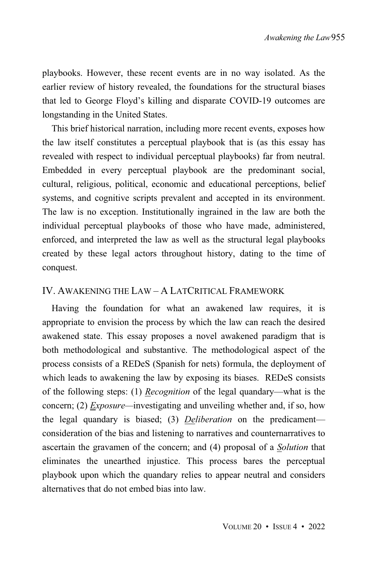playbooks. However, these recent events are in no way isolated. As the earlier review of history revealed, the foundations for the structural biases that led to George Floyd's killing and disparate COVID-19 outcomes are longstanding in the United States.

This brief historical narration, including more recent events, exposes how the law itself constitutes a perceptual playbook that is (as this essay has revealed with respect to individual perceptual playbooks) far from neutral. Embedded in every perceptual playbook are the predominant social, cultural, religious, political, economic and educational perceptions, belief systems, and cognitive scripts prevalent and accepted in its environment. The law is no exception. Institutionally ingrained in the law are both the individual perceptual playbooks of those who have made, administered, enforced, and interpreted the law as well as the structural legal playbooks created by these legal actors throughout history, dating to the time of conquest.

#### IV. AWAKENING THE LAW – A LATCRITICAL FRAMEWORK

Having the foundation for what an awakened law requires, it is appropriate to envision the process by which the law can reach the desired awakened state. This essay proposes a novel awakened paradigm that is both methodological and substantive. The methodological aspect of the process consists of a REDeS (Spanish for nets) formula, the deployment of which leads to awakening the law by exposing its biases. REDeS consists of the following steps: (1) *Recognition* of the legal quandary—what is the concern; (2) *Exposure—*investigating and unveiling whether and, if so, how the legal quandary is biased; (3) *Deliberation* on the predicament consideration of the bias and listening to narratives and counternarratives to ascertain the gravamen of the concern; and (4) proposal of a *Solution* that eliminates the unearthed injustice. This process bares the perceptual playbook upon which the quandary relies to appear neutral and considers alternatives that do not embed bias into law.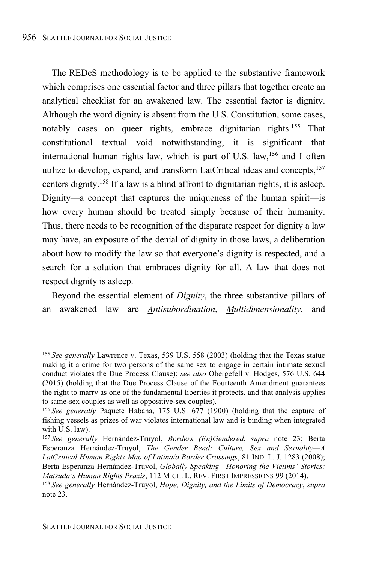The REDeS methodology is to be applied to the substantive framework which comprises one essential factor and three pillars that together create an analytical checklist for an awakened law. The essential factor is dignity. Although the word dignity is absent from the U.S. Constitution, some cases, notably cases on queer rights, embrace dignitarian rights.<sup>155</sup> That constitutional textual void notwithstanding, it is significant that international human rights law, which is part of U.S. law,  $156$  and I often utilize to develop, expand, and transform LatCritical ideas and concepts,<sup>157</sup> centers dignity.<sup>158</sup> If a law is a blind affront to dignitarian rights, it is asleep. Dignity—a concept that captures the uniqueness of the human spirit—is how every human should be treated simply because of their humanity. Thus, there needs to be recognition of the disparate respect for dignity a law may have, an exposure of the denial of dignity in those laws, a deliberation about how to modify the law so that everyone's dignity is respected, and a search for a solution that embraces dignity for all. A law that does not respect dignity is asleep.

Beyond the essential element of *Dignity*, the three substantive pillars of an awakened law are *Antisubordination*, *Multidimensionality*, and

<sup>155</sup> *See generally* Lawrence v. Texas, 539 U.S. 558 (2003) (holding that the Texas statue making it a crime for two persons of the same sex to engage in certain intimate sexual conduct violates the Due Process Clause); *see also* Obergefell v. Hodges, 576 U.S. 644 (2015) (holding that the Due Process Clause of the Fourteenth Amendment guarantees the right to marry as one of the fundamental liberties it protects, and that analysis applies to same-sex couples as well as oppositive-sex couples).

<sup>156</sup> *See generally* Paquete Habana, 175 U.S. 677 (1900) (holding that the capture of fishing vessels as prizes of war violates international law and is binding when integrated with U.S. law).

<sup>157</sup> *See generally* Hernández-Truyol, *Borders (En)Gendered*, *supra* note 23; Berta Esperanza Hernández-Truyol, *The Gender Bend: Culture, Sex and Sexuality—A LatCritical Human Rights Map of Latina/o Border Crossings*, 81 IND. L. J. 1283 (2008); Berta Esperanza Hernández-Truyol, *Globally Speaking—Honoring the Victims' Stories: Matsuda's Human Rights Praxis*, 112 MICH. L. REV. FIRST IMPRESSIONS 99 (2014).

<sup>158</sup> *See generally* Hernández-Truyol, *Hope, Dignity, and the Limits of Democracy*, *supra* note 23.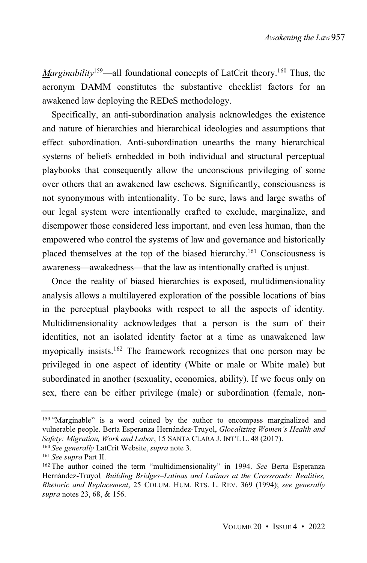*Marginability*<sup>159</sup>—all foundational concepts of LatCrit theory. <sup>160</sup> Thus, the acronym DAMM constitutes the substantive checklist factors for an awakened law deploying the REDeS methodology.

Specifically, an anti-subordination analysis acknowledges the existence and nature of hierarchies and hierarchical ideologies and assumptions that effect subordination. Anti-subordination unearths the many hierarchical systems of beliefs embedded in both individual and structural perceptual playbooks that consequently allow the unconscious privileging of some over others that an awakened law eschews. Significantly, consciousness is not synonymous with intentionality. To be sure, laws and large swaths of our legal system were intentionally crafted to exclude, marginalize, and disempower those considered less important, and even less human, than the empowered who control the systems of law and governance and historically placed themselves at the top of the biased hierarchy.<sup>161</sup> Consciousness is awareness—awakedness—that the law as intentionally crafted is unjust.

Once the reality of biased hierarchies is exposed, multidimensionality analysis allows a multilayered exploration of the possible locations of bias in the perceptual playbooks with respect to all the aspects of identity. Multidimensionality acknowledges that a person is the sum of their identities, not an isolated identity factor at a time as unawakened law myopically insists.<sup>162</sup> The framework recognizes that one person may be privileged in one aspect of identity (White or male or White male) but subordinated in another (sexuality, economics, ability). If we focus only on sex, there can be either privilege (male) or subordination (female, non-

<sup>159 &</sup>quot;Marginable" is a word coined by the author to encompass marginalized and vulnerable people. Berta Esperanza Hernández-Truyol, *Glocalizing Women's Health and Safety: Migration, Work and Labor*, 15 SANTA CLARA J. INT'L L. 48 (2017).

<sup>160</sup> *See generally* LatCrit Website, *supra* note 3.

<sup>161</sup> *See supra* Part II.

<sup>162</sup> The author coined the term "multidimensionality" in 1994. *See* Berta Esperanza Hernández-Truyol*, Building Bridges–Latinas and Latinos at the Crossroads: Realities, Rhetoric and Replacement*, 25 COLUM. HUM. RTS. L. REV. 369 (1994); *see generally supra* notes 23, 68, & 156.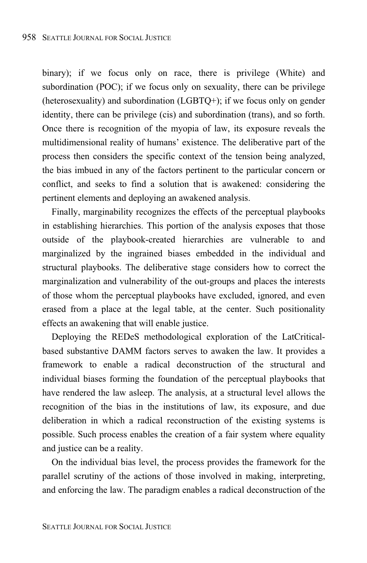binary); if we focus only on race, there is privilege (White) and subordination (POC); if we focus only on sexuality, there can be privilege (heterosexuality) and subordination (LGBTQ+); if we focus only on gender identity, there can be privilege (cis) and subordination (trans), and so forth. Once there is recognition of the myopia of law, its exposure reveals the multidimensional reality of humans' existence. The deliberative part of the process then considers the specific context of the tension being analyzed, the bias imbued in any of the factors pertinent to the particular concern or conflict, and seeks to find a solution that is awakened: considering the pertinent elements and deploying an awakened analysis.

Finally, marginability recognizes the effects of the perceptual playbooks in establishing hierarchies. This portion of the analysis exposes that those outside of the playbook-created hierarchies are vulnerable to and marginalized by the ingrained biases embedded in the individual and structural playbooks. The deliberative stage considers how to correct the marginalization and vulnerability of the out-groups and places the interests of those whom the perceptual playbooks have excluded, ignored, and even erased from a place at the legal table, at the center. Such positionality effects an awakening that will enable justice.

Deploying the REDeS methodological exploration of the LatCriticalbased substantive DAMM factors serves to awaken the law. It provides a framework to enable a radical deconstruction of the structural and individual biases forming the foundation of the perceptual playbooks that have rendered the law asleep. The analysis, at a structural level allows the recognition of the bias in the institutions of law, its exposure, and due deliberation in which a radical reconstruction of the existing systems is possible. Such process enables the creation of a fair system where equality and justice can be a reality.

On the individual bias level, the process provides the framework for the parallel scrutiny of the actions of those involved in making, interpreting, and enforcing the law. The paradigm enables a radical deconstruction of the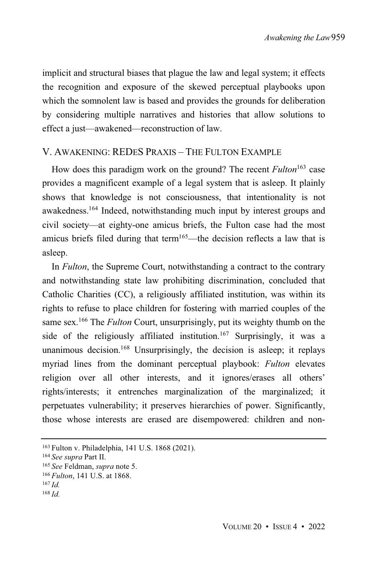implicit and structural biases that plague the law and legal system; it effects the recognition and exposure of the skewed perceptual playbooks upon which the somnolent law is based and provides the grounds for deliberation by considering multiple narratives and histories that allow solutions to effect a just—awakened—reconstruction of law.

#### V. AWAKENING: REDES PRAXIS – THE FULTON EXAMPLE

How does this paradigm work on the ground? The recent *Fulton* <sup>163</sup> case provides a magnificent example of a legal system that is asleep. It plainly shows that knowledge is not consciousness, that intentionality is not awakedness.<sup>164</sup> Indeed, notwithstanding much input by interest groups and civil society—at eighty-one amicus briefs, the Fulton case had the most amicus briefs filed during that term<sup>165</sup>—the decision reflects a law that is asleep.

In *Fulton*, the Supreme Court, notwithstanding a contract to the contrary and notwithstanding state law prohibiting discrimination, concluded that Catholic Charities (CC), a religiously affiliated institution, was within its rights to refuse to place children for fostering with married couples of the same sex.<sup>166</sup> The *Fulton* Court, unsurprisingly, put its weighty thumb on the side of the religiously affiliated institution.<sup>167</sup> Surprisingly, it was a unanimous decision.<sup>168</sup> Unsurprisingly, the decision is asleep; it replays myriad lines from the dominant perceptual playbook: *Fulton* elevates religion over all other interests, and it ignores/erases all others' rights/interests; it entrenches marginalization of the marginalized; it perpetuates vulnerability; it preserves hierarchies of power. Significantly, those whose interests are erased are disempowered: children and non-

<sup>163</sup> Fulton v. Philadelphia, 141 U.S. 1868 (2021).

<sup>164</sup> *See supra* Part II.

<sup>165</sup> *See* Feldman, *supra* note 5.

<sup>166</sup> *Fulton*, 141 U.S. at 1868.

<sup>167</sup> *Id.*

<sup>168</sup> *Id.*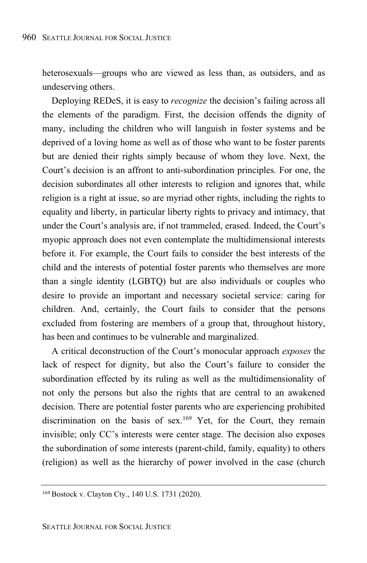heterosexuals—groups who are viewed as less than, as outsiders, and as undeserving others.

Deploying REDeS, it is easy to *recognize* the decision's failing across all the elements of the paradigm. First, the decision offends the dignity of many, including the children who will languish in foster systems and be deprived of a loving home as well as of those who want to be foster parents but are denied their rights simply because of whom they love. Next, the Court's decision is an affront to anti-subordination principles. For one, the decision subordinates all other interests to religion and ignores that, while religion is a right at issue, so are myriad other rights, including the rights to equality and liberty, in particular liberty rights to privacy and intimacy, that under the Court's analysis are, if not trammeled, erased. Indeed, the Court's myopic approach does not even contemplate the multidimensional interests before it. For example, the Court fails to consider the best interests of the child and the interests of potential foster parents who themselves are more than a single identity (LGBTQ) but are also individuals or couples who desire to provide an important and necessary societal service: caring for children. And, certainly, the Court fails to consider that the persons excluded from fostering are members of a group that, throughout history, has been and continues to be vulnerable and marginalized.

A critical deconstruction of the Court's monocular approach *exposes* the lack of respect for dignity, but also the Court's failure to consider the subordination effected by its ruling as well as the multidimensionality of not only the persons but also the rights that are central to an awakened decision. There are potential foster parents who are experiencing prohibited discrimination on the basis of sex.<sup>169</sup> Yet, for the Court, they remain invisible; only CC's interests were center stage. The decision also exposes the subordination of some interests (parent-child, family, equality) to others (religion) as well as the hierarchy of power involved in the case (church

<sup>169</sup> Bostock v. Clayton Cty., 140 U.S. 1731 (2020).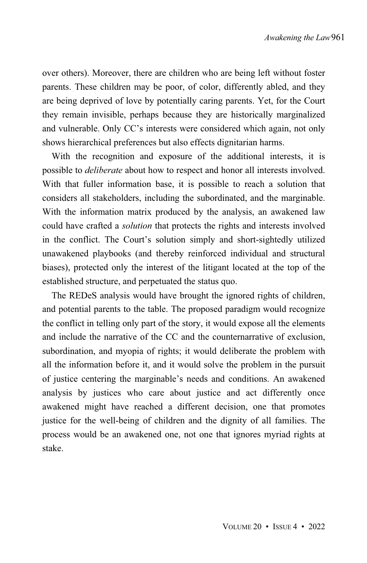over others). Moreover, there are children who are being left without foster parents. These children may be poor, of color, differently abled, and they are being deprived of love by potentially caring parents. Yet, for the Court they remain invisible, perhaps because they are historically marginalized and vulnerable. Only CC's interests were considered which again, not only shows hierarchical preferences but also effects dignitarian harms.

With the recognition and exposure of the additional interests, it is possible to *deliberate* about how to respect and honor all interests involved. With that fuller information base, it is possible to reach a solution that considers all stakeholders, including the subordinated, and the marginable. With the information matrix produced by the analysis, an awakened law could have crafted a *solution* that protects the rights and interests involved in the conflict. The Court's solution simply and short-sightedly utilized unawakened playbooks (and thereby reinforced individual and structural biases), protected only the interest of the litigant located at the top of the established structure, and perpetuated the status quo.

The REDeS analysis would have brought the ignored rights of children, and potential parents to the table. The proposed paradigm would recognize the conflict in telling only part of the story, it would expose all the elements and include the narrative of the CC and the counternarrative of exclusion, subordination, and myopia of rights; it would deliberate the problem with all the information before it, and it would solve the problem in the pursuit of justice centering the marginable's needs and conditions. An awakened analysis by justices who care about justice and act differently once awakened might have reached a different decision, one that promotes justice for the well-being of children and the dignity of all families. The process would be an awakened one, not one that ignores myriad rights at stake.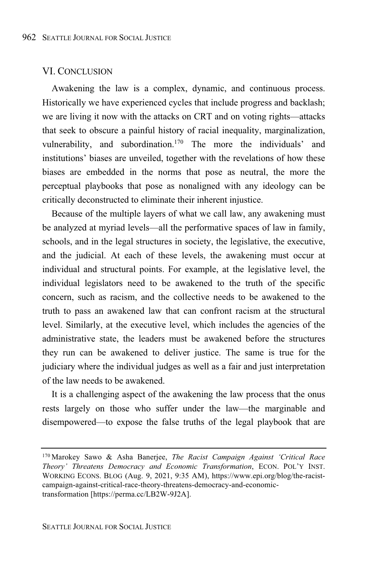#### VI. CONCLUSION

Awakening the law is a complex, dynamic, and continuous process. Historically we have experienced cycles that include progress and backlash; we are living it now with the attacks on CRT and on voting rights—attacks that seek to obscure a painful history of racial inequality, marginalization, vulnerability, and subordination.<sup>170</sup> The more the individuals' and institutions' biases are unveiled, together with the revelations of how these biases are embedded in the norms that pose as neutral, the more the perceptual playbooks that pose as nonaligned with any ideology can be critically deconstructed to eliminate their inherent injustice.

Because of the multiple layers of what we call law, any awakening must be analyzed at myriad levels—all the performative spaces of law in family, schools, and in the legal structures in society, the legislative, the executive, and the judicial. At each of these levels, the awakening must occur at individual and structural points. For example, at the legislative level, the individual legislators need to be awakened to the truth of the specific concern, such as racism, and the collective needs to be awakened to the truth to pass an awakened law that can confront racism at the structural level. Similarly, at the executive level, which includes the agencies of the administrative state, the leaders must be awakened before the structures they run can be awakened to deliver justice. The same is true for the judiciary where the individual judges as well as a fair and just interpretation of the law needs to be awakened.

It is a challenging aspect of the awakening the law process that the onus rests largely on those who suffer under the law—the marginable and disempowered—to expose the false truths of the legal playbook that are

<sup>170</sup> Marokey Sawo & Asha Banerjee, *The Racist Campaign Against 'Critical Race Theory' Threatens Democracy and Economic Transformation*, ECON. POL'Y INST. WORKING ECONS. BLOG (Aug. 9, 2021, 9:35 AM), https://www.epi.org/blog/the-racistcampaign-against-critical-race-theory-threatens-democracy-and-economictransformation [https://perma.cc/LB2W-9J2A].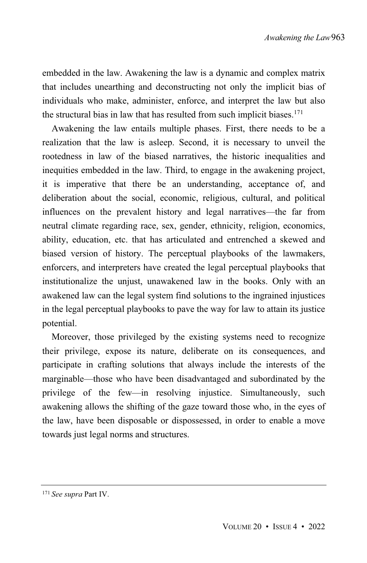embedded in the law. Awakening the law is a dynamic and complex matrix that includes unearthing and deconstructing not only the implicit bias of individuals who make, administer, enforce, and interpret the law but also the structural bias in law that has resulted from such implicit biases.<sup>171</sup>

Awakening the law entails multiple phases. First, there needs to be a realization that the law is asleep. Second, it is necessary to unveil the rootedness in law of the biased narratives, the historic inequalities and inequities embedded in the law. Third, to engage in the awakening project, it is imperative that there be an understanding, acceptance of, and deliberation about the social, economic, religious, cultural, and political influences on the prevalent history and legal narratives—the far from neutral climate regarding race, sex, gender, ethnicity, religion, economics, ability, education, etc. that has articulated and entrenched a skewed and biased version of history. The perceptual playbooks of the lawmakers, enforcers, and interpreters have created the legal perceptual playbooks that institutionalize the unjust, unawakened law in the books. Only with an awakened law can the legal system find solutions to the ingrained injustices in the legal perceptual playbooks to pave the way for law to attain its justice potential.

Moreover, those privileged by the existing systems need to recognize their privilege, expose its nature, deliberate on its consequences, and participate in crafting solutions that always include the interests of the marginable—those who have been disadvantaged and subordinated by the privilege of the few—in resolving injustice. Simultaneously, such awakening allows the shifting of the gaze toward those who, in the eyes of the law, have been disposable or dispossessed, in order to enable a move towards just legal norms and structures.

<sup>171</sup> *See supra* Part IV.